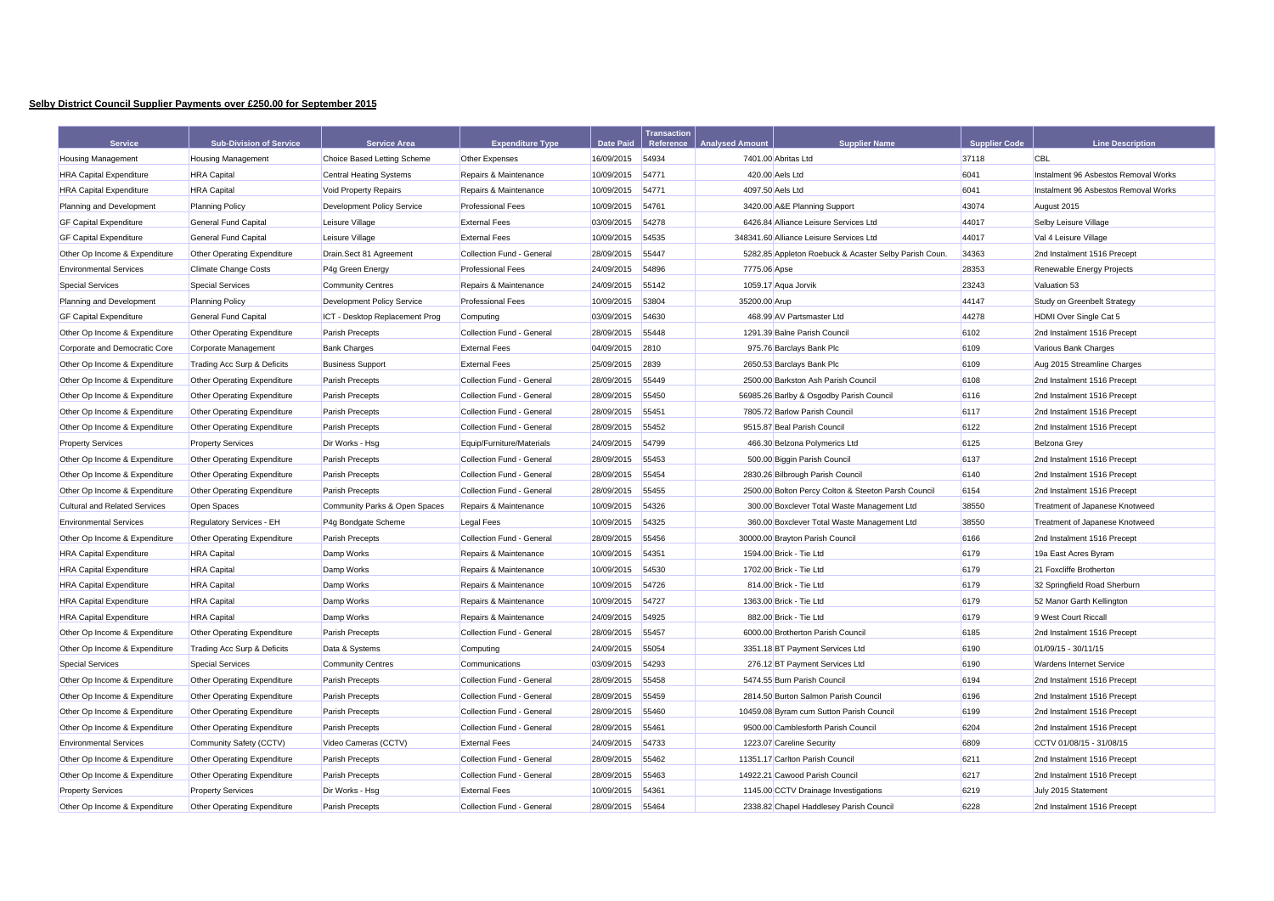## **Selby District Council Supplier Payments over £250.00 for September 2015**

|                                      |                                |                                   |                           |                  | <b>Transaction</b> |                        |                                                       |                      |                                      |
|--------------------------------------|--------------------------------|-----------------------------------|---------------------------|------------------|--------------------|------------------------|-------------------------------------------------------|----------------------|--------------------------------------|
| <b>Service</b>                       | <b>Sub-Division of Service</b> | <b>Service Area</b>               | <b>Expenditure Type</b>   | <b>Date Paid</b> | Reference          | <b>Analysed Amount</b> | <b>Supplier Name</b>                                  | <b>Supplier Code</b> | <b>Line Description</b>              |
| <b>Housing Management</b>            | <b>Housing Management</b>      | Choice Based Letting Scheme       | Other Expenses            | 16/09/2015       | 54934              |                        | 7401.00 Abritas Ltd                                   | 37118                | <b>CBL</b>                           |
| <b>HRA Capital Expenditure</b>       | <b>HRA</b> Capital             | <b>Central Heating Systems</b>    | Repairs & Maintenance     | 10/09/2015       | 54771              |                        | 420.00 Aels Ltd                                       | 6041<br>6041         | Instalment 96 Asbestos Removal Works |
| <b>HRA Capital Expenditure</b>       | <b>HRA</b> Capital             | Void Property Repairs             | Repairs & Maintenance     | 10/09/2015       | 54771              | 4097.50 Aels Ltd       |                                                       |                      | Instalment 96 Asbestos Removal Works |
| Planning and Development             | <b>Planning Policy</b>         | <b>Development Policy Service</b> | <b>Professional Fees</b>  | 10/09/2015       | 54761              |                        | 3420.00 A&E Planning Support                          | 43074                | August 2015                          |
| <b>GF Capital Expenditure</b>        | <b>General Fund Capital</b>    | Leisure Village                   | <b>External Fees</b>      | 03/09/2015       | 54278              |                        | 6426.84 Alliance Leisure Services Ltd                 | 44017                | Selby Leisure Village                |
| <b>GF Capital Expenditure</b>        | <b>General Fund Capital</b>    | Leisure Village                   | <b>External Fees</b>      | 10/09/2015       | 54535              |                        | 348341.60 Alliance Leisure Services Ltd               | 44017                | Val 4 Leisure Village                |
| Other Op Income & Expenditure        | Other Operating Expenditure    | Drain.Sect 81 Agreement           | Collection Fund - General | 28/09/2015       | 55447              |                        | 5282.85 Appleton Roebuck & Acaster Selby Parish Coun. | 34363                | 2nd Instalment 1516 Precept          |
| <b>Environmental Services</b>        | <b>Climate Change Costs</b>    | P4g Green Energy                  | <b>Professional Fees</b>  | 24/09/2015       | 54896              | 7775.06 Apse           |                                                       | 28353                | Renewable Energy Projects            |
| <b>Special Services</b>              | <b>Special Services</b>        | <b>Community Centres</b>          | Repairs & Maintenance     | 24/09/2015       | 55142              |                        | 1059.17 Aqua Jorvik                                   | 23243                | Valuation 53                         |
| Planning and Development             | <b>Planning Policy</b>         | Development Policy Service        | <b>Professional Fees</b>  | 10/09/2015       | 53804              | 35200.00 Arup          |                                                       | 44147                | Study on Greenbelt Strategy          |
| <b>GF Capital Expenditure</b>        | <b>General Fund Capital</b>    | ICT - Desktop Replacement Prog    | Computing                 | 03/09/2015       | 54630              |                        | 468.99 AV Partsmaster Ltd                             | 44278                | HDMI Over Single Cat 5               |
| Other Op Income & Expenditure        | Other Operating Expenditure    | <b>Parish Precepts</b>            | Collection Fund - General | 28/09/2015       | 55448              |                        | 1291.39 Balne Parish Council                          | 6102                 | 2nd Instalment 1516 Precept          |
| Corporate and Democratic Core        | Corporate Management           | <b>Bank Charges</b>               | <b>External Fees</b>      | 04/09/2015       | 2810               |                        | 975.76 Barclays Bank Plc                              | 6109                 | Various Bank Charges                 |
| Other Op Income & Expenditure        | Trading Acc Surp & Deficits    | <b>Business Support</b>           | <b>External Fees</b>      | 25/09/2015       | 2839               |                        | 2650.53 Barclays Bank Plc                             | 6109                 | Aug 2015 Streamline Charges          |
| Other Op Income & Expenditure        | Other Operating Expenditure    | <b>Parish Precepts</b>            | Collection Fund - General | 28/09/2015       | 55449              |                        | 2500.00 Barkston Ash Parish Council                   | 6108                 | 2nd Instalment 1516 Precept          |
| Other Op Income & Expenditure        | Other Operating Expenditure    | Parish Precepts                   | Collection Fund - General | 28/09/2015       | 55450              |                        | 56985.26 Barlby & Osgodby Parish Council              | 6116                 | 2nd Instalment 1516 Precept          |
| Other Op Income & Expenditure        | Other Operating Expenditure    | <b>Parish Precepts</b>            | Collection Fund - General | 28/09/2015       | 55451              |                        | 7805.72 Barlow Parish Council                         | 6117                 | 2nd Instalment 1516 Precept          |
| Other Op Income & Expenditure        | Other Operating Expenditure    | Parish Precepts                   | Collection Fund - General | 28/09/2015       | 55452              |                        | 9515.87 Beal Parish Council                           | 6122                 | 2nd Instalment 1516 Precept          |
| <b>Property Services</b>             | <b>Property Services</b>       | Dir Works - Hsg                   | Equip/Furniture/Materials | 24/09/2015       | 54799              |                        | 466.30 Belzona Polymerics Ltd                         | 6125                 | Belzona Grey                         |
| Other Op Income & Expenditure        | Other Operating Expenditure    | <b>Parish Precepts</b>            | Collection Fund - General | 28/09/2015       | 55453              |                        | 500.00 Biggin Parish Council                          | 6137                 | 2nd Instalment 1516 Precept          |
| Other Op Income & Expenditure        | Other Operating Expenditure    | <b>Parish Precepts</b>            | Collection Fund - General | 28/09/2015       | 55454              |                        | 2830.26 Bilbrough Parish Council                      | 6140                 | 2nd Instalment 1516 Precept          |
| Other Op Income & Expenditure        | Other Operating Expenditure    | Parish Precepts                   | Collection Fund - General | 28/09/2015       | 55455              |                        | 2500.00 Bolton Percy Colton & Steeton Parsh Council   | 6154                 | 2nd Instalment 1516 Precept          |
| <b>Cultural and Related Services</b> | <b>Open Spaces</b>             | Community Parks & Open Spaces     | Repairs & Maintenance     | 10/09/2015       | 54326              |                        | 300.00 Boxclever Total Waste Management Ltd           | 38550                | Treatment of Japanese Knotweed       |
| <b>Environmental Services</b>        | Regulatory Services - EH       | P4g Bondgate Scheme               | Legal Fees                | 10/09/2015       | 54325              |                        | 360.00 Boxclever Total Waste Management Ltd           | 38550                | Treatment of Japanese Knotweed       |
| Other Op Income & Expenditure        | Other Operating Expenditure    | Parish Precepts                   | Collection Fund - General | 28/09/2015       | 55456              |                        | 30000.00 Brayton Parish Council                       | 6166                 | 2nd Instalment 1516 Precept          |
| <b>HRA Capital Expenditure</b>       | <b>HRA</b> Capital             | Damp Works                        | Repairs & Maintenance     | 10/09/2015       | 54351              |                        | 1594.00 Brick - Tie Ltd                               | 6179                 | 19a East Acres Byram                 |
| <b>HRA Capital Expenditure</b>       | <b>HRA</b> Capital             | Damp Works                        | Repairs & Maintenance     | 10/09/2015       | 54530              |                        | 1702.00 Brick - Tie Ltd                               | 6179                 | 21 Foxcliffe Brotherton              |
| <b>HRA Capital Expenditure</b>       | <b>HRA</b> Capital             | Damp Works                        | Repairs & Maintenance     | 10/09/2015       | 54726              |                        | 814.00 Brick - Tie Ltd                                | 6179                 | 32 Springfield Road Sherburn         |
| <b>HRA Capital Expenditure</b>       | <b>HRA</b> Capital             | Damp Works                        | Repairs & Maintenance     | 10/09/2015       | 54727              |                        | 1363.00 Brick - Tie Ltd                               | 6179                 | 52 Manor Garth Kellington            |
| <b>HRA Capital Expenditure</b>       | <b>HRA</b> Capital             | Damp Works                        | Repairs & Maintenance     | 24/09/2015       | 54925              |                        | 882.00 Brick - Tie Ltd                                | 6179                 | 9 West Court Riccall                 |
| Other Op Income & Expenditure        | Other Operating Expenditure    | Parish Precepts                   | Collection Fund - General | 28/09/2015       | 55457              |                        | 6000.00 Brotherton Parish Council                     | 6185                 | 2nd Instalment 1516 Precept          |
| Other Op Income & Expenditure        | Trading Acc Surp & Deficits    | Data & Systems                    | Computing                 | 24/09/2015       | 55054              |                        | 3351.18 BT Payment Services Ltd                       | 6190                 | 01/09/15 - 30/11/15                  |
| <b>Special Services</b>              | <b>Special Services</b>        | <b>Community Centres</b>          | Communications            | 03/09/2015       | 54293              |                        | 276.12 BT Payment Services Ltd                        | 6190                 | <b>Wardens Internet Service</b>      |
| Other Op Income & Expenditure        | Other Operating Expenditure    | <b>Parish Precepts</b>            | Collection Fund - General | 28/09/2015       | 55458              |                        | 5474.55 Burn Parish Council                           | 6194                 | 2nd Instalment 1516 Precept          |
| Other Op Income & Expenditure        | Other Operating Expenditure    | <b>Parish Precepts</b>            | Collection Fund - General | 28/09/2015       | 55459              |                        | 2814.50 Burton Salmon Parish Council                  | 6196                 | 2nd Instalment 1516 Precept          |
| Other Op Income & Expenditure        | Other Operating Expenditure    | Parish Precepts                   | Collection Fund - General | 28/09/2015       | 55460              |                        | 10459.08 Byram cum Sutton Parish Council              | 6199                 | 2nd Instalment 1516 Precept          |
| Other Op Income & Expenditure        | Other Operating Expenditure    | <b>Parish Precepts</b>            | Collection Fund - General | 28/09/2015       | 55461              |                        | 9500.00 Camblesforth Parish Council                   | 6204                 | 2nd Instalment 1516 Precept          |
| <b>Environmental Services</b>        | Community Safety (CCTV)        | Video Cameras (CCTV)              | <b>External Fees</b>      | 24/09/2015       | 54733              |                        | 1223.07 Careline Security                             | 6809                 | CCTV 01/08/15 - 31/08/15             |
| Other Op Income & Expenditure        | Other Operating Expenditure    | <b>Parish Precepts</b>            | Collection Fund - General | 28/09/2015       | 55462              |                        | 11351.17 Carlton Parish Council                       | 6211                 | 2nd Instalment 1516 Precept          |
| Other Op Income & Expenditure        | Other Operating Expenditure    | <b>Parish Precepts</b>            | Collection Fund - General | 28/09/2015       | 55463              |                        | 14922.21 Cawood Parish Council                        | 6217                 | 2nd Instalment 1516 Precept          |
| <b>Property Services</b>             | <b>Property Services</b>       | Dir Works - Hsg                   | <b>External Fees</b>      | 10/09/2015       | 54361              |                        | 1145.00 CCTV Drainage Investigations                  | 6219                 | July 2015 Statement                  |
| Other Op Income & Expenditure        | Other Operating Expenditure    | <b>Parish Precepts</b>            | Collection Fund - General | 28/09/2015       | 55464              |                        | 2338.82 Chapel Haddlesey Parish Council               | 6228                 | 2nd Instalment 1516 Precept          |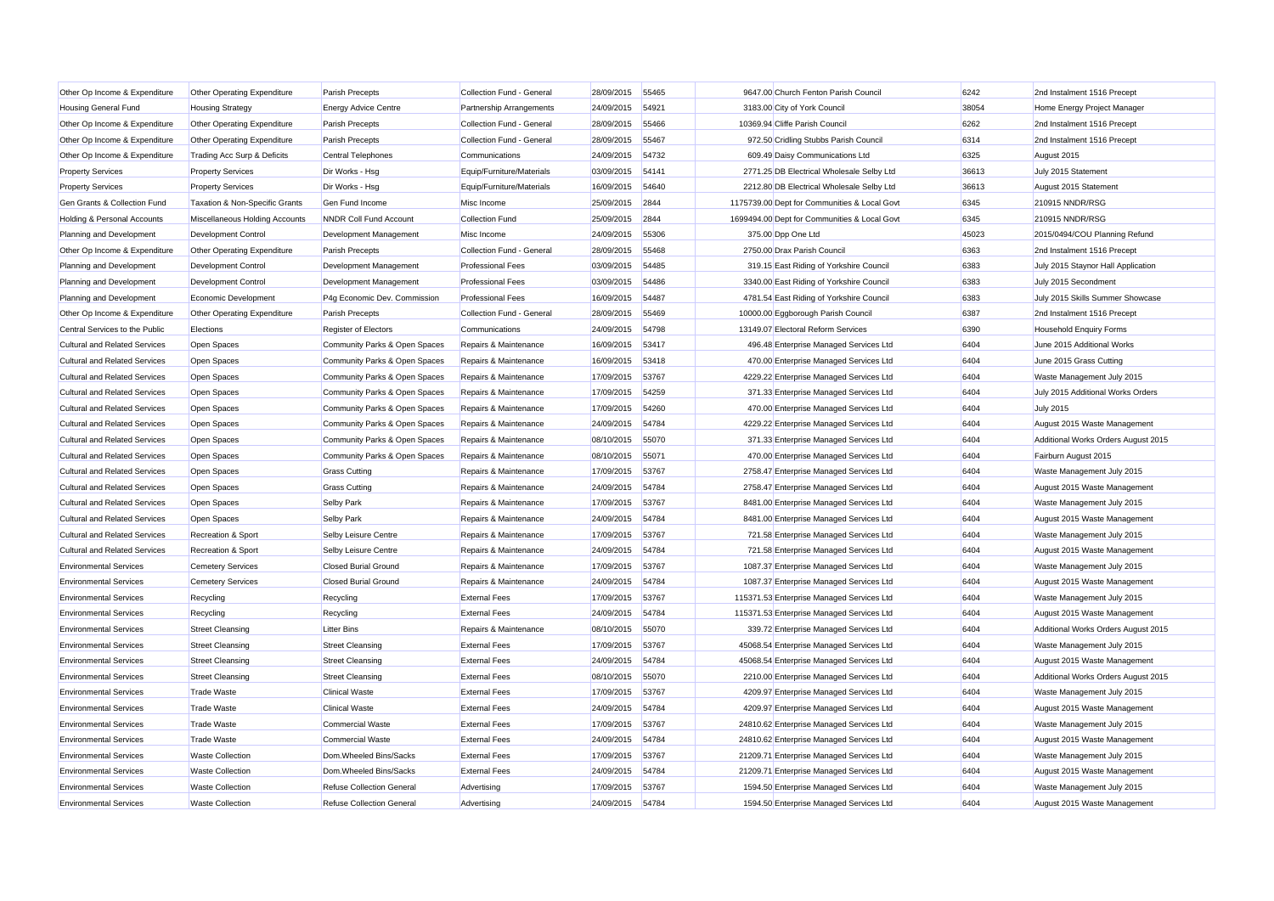| <b>Housing General Fund</b><br><b>Housing Strategy</b><br><b>Energy Advice Centre</b><br>Partnership Arrangements<br>24/09/2015<br>54921<br>3183.00 City of York Council<br>38054<br>Home Energy Project Manager<br>6262<br>Other Op Income & Expenditure<br>Collection Fund - General<br>28/09/2015<br>55466<br>10369.94 Cliffe Parish Council<br>2nd Instalment 1516 Precept<br>Other Operating Expenditure<br>Parish Precepts<br>Other Op Income & Expenditure<br>Parish Precepts<br>Collection Fund - General<br>28/09/2015<br>55467<br>972.50 Cridling Stubbs Parish Council<br>6314<br>2nd Instalment 1516 Precept<br>Other Operating Expenditure<br>24/09/2015 54732<br>609.49 Daisy Communications Ltd<br>6325<br>Other Op Income & Expenditure<br>Trading Acc Surp & Deficits<br><b>Central Telephones</b><br>Communications<br>August 2015<br><b>Property Services</b><br><b>Property Services</b><br>Dir Works - Hsg<br>Equip/Furniture/Materials<br>03/09/2015<br>54141<br>2771.25 DB Electrical Wholesale Selby Ltd<br>36613<br>July 2015 Statement<br>Dir Works - Hsg<br>16/09/2015<br>54640<br>2212.80 DB Electrical Wholesale Selby Ltd<br>36613<br><b>Property Services</b><br><b>Property Services</b><br>Equip/Furniture/Materials<br>August 2015 Statement<br>Gen Grants & Collection Fund<br>Taxation & Non-Specific Grants<br>Gen Fund Income<br>Misc Income<br>25/09/2015 2844<br>1175739.00 Dept for Communities & Local Govt<br>6345<br>210915 NNDR/RSG<br>25/09/2015<br>2844<br>1699494.00 Dept for Communities & Local Govt<br>6345<br>210915 NNDR/RSG<br><b>Holding &amp; Personal Accounts</b><br>Miscellaneous Holding Accounts<br>NNDR Coll Fund Account<br><b>Collection Fund</b><br>Planning and Development<br><b>Development Control</b><br>Development Management<br>Misc Income<br>24/09/2015<br>55306<br>375.00 Dpp One Ltd<br>45023<br>2015/0494/COU Planning Refund<br>6363<br>Other Op Income & Expenditure<br>Collection Fund - General<br>28/09/2015<br>55468<br>2750.00 Drax Parish Council<br>Other Operating Expenditure<br>Parish Precepts<br>2nd Instalment 1516 Precept<br>6383<br>Planning and Development<br>Development Control<br>Development Management<br><b>Professional Fees</b><br>03/09/2015<br>54485<br>319.15 East Riding of Yorkshire Council<br>July 2015 Staynor Hall Application<br>Planning and Development<br>Development Control<br>Development Management<br><b>Professional Fees</b><br>03/09/2015 54486<br>3340.00 East Riding of Yorkshire Council<br>6383<br>July 2015 Secondment<br>6383<br>Planning and Development<br>Economic Development<br>P4g Economic Dev. Commission<br><b>Professional Fees</b><br>16/09/2015<br>54487<br>4781.54 East Riding of Yorkshire Council<br>July 2015 Skills Summer Showcase<br>28/09/2015<br>55469<br>10000.00 Eggborough Parish Council<br>6387<br>Other Op Income & Expenditure<br>Other Operating Expenditure<br>Parish Precepts<br>Collection Fund - General<br>2nd Instalment 1516 Precept<br>Central Services to the Public<br>Elections<br><b>Register of Electors</b><br>Communications<br>24/09/2015<br>54798<br>13149.07 Electoral Reform Services<br>6390<br>Household Enquiry Forms<br>Cultural and Related Services<br>Open Spaces<br>16/09/2015<br>496.48 Enterprise Managed Services Ltd<br>6404<br>Community Parks & Open Spaces<br>Repairs & Maintenance<br>53417<br>June 2015 Additional Works<br><b>Cultural and Related Services</b><br>Open Spaces<br>Community Parks & Open Spaces<br>Repairs & Maintenance<br>16/09/2015<br>53418<br>470.00 Enterprise Managed Services Ltd<br>6404<br>June 2015 Grass Cutting<br>6404<br>Cultural and Related Services<br>Open Spaces<br>Community Parks & Open Spaces<br>Repairs & Maintenance<br>17/09/2015<br>53767<br>4229.22 Enterprise Managed Services Ltd<br>Waste Management July 2015<br>Open Spaces<br>54259<br>371.33 Enterprise Managed Services Ltd<br>6404<br>July 2015 Additional Works Orders<br><b>Cultural and Related Services</b><br>Community Parks & Open Spaces<br>Repairs & Maintenance<br>17/09/2015<br>Cultural and Related Services<br>Open Spaces<br>Community Parks & Open Spaces<br>Repairs & Maintenance<br>17/09/2015<br>54260<br>470.00 Enterprise Managed Services Ltd<br>6404<br><b>July 2015</b><br>6404<br><b>Cultural and Related Services</b><br>Open Spaces<br>Community Parks & Open Spaces<br>Repairs & Maintenance<br>24/09/2015<br>54784<br>4229.22 Enterprise Managed Services Ltd<br>August 2015 Waste Management<br><b>Cultural and Related Services</b><br>Community Parks & Open Spaces<br>08/10/2015<br>55070<br>371.33 Enterprise Managed Services Ltd<br>6404<br>Additional Works Orders August 2015<br>Open Spaces<br>Repairs & Maintenance<br>6404<br><b>Cultural and Related Services</b><br>Open Spaces<br>Community Parks & Open Spaces<br>Repairs & Maintenance<br>08/10/2015<br>55071<br>470.00 Enterprise Managed Services Ltd<br>Fairburn August 2015<br><b>Cultural and Related Services</b><br>Open Spaces<br>2758.47 Enterprise Managed Services Ltd<br>6404<br><b>Grass Cutting</b><br>Repairs & Maintenance<br>17/09/2015<br>53767<br>Waste Management July 2015<br><b>Cultural and Related Services</b><br>Open Spaces<br><b>Grass Cutting</b><br>24/09/2015<br>54784<br>2758.47 Enterprise Managed Services Ltd<br>6404<br>Repairs & Maintenance<br>August 2015 Waste Management<br>Cultural and Related Services<br>Open Spaces<br><b>Selby Park</b><br>Repairs & Maintenance<br>17/09/2015<br>53767<br>8481.00 Enterprise Managed Services Ltd<br>6404<br>Waste Management July 2015<br>Open Spaces<br>8481.00 Enterprise Managed Services Ltd<br>6404<br>August 2015 Waste Management<br><b>Cultural and Related Services</b><br><b>Selby Park</b><br>Repairs & Maintenance<br>24/09/2015<br>54784<br>6404<br>Cultural and Related Services<br>Recreation & Sport<br>Selby Leisure Centre<br>Repairs & Maintenance<br>17/09/2015<br>53767<br>721.58 Enterprise Managed Services Ltd<br>Waste Management July 2015<br>6404<br><b>Cultural and Related Services</b><br>Recreation & Sport<br>Selby Leisure Centre<br>Repairs & Maintenance<br>24/09/2015<br>54784<br>721.58 Enterprise Managed Services Ltd<br>August 2015 Waste Management<br><b>Environmental Services</b><br><b>Closed Burial Ground</b><br>17/09/2015 53767<br>1087.37 Enterprise Managed Services Ltd<br>6404<br>Waste Management July 2015<br><b>Cemetery Services</b><br>Repairs & Maintenance<br>6404<br><b>Environmental Services</b><br><b>Cemetery Services</b><br><b>Closed Burial Ground</b><br>Repairs & Maintenance<br>24/09/2015<br>54784<br>1087.37 Enterprise Managed Services Ltd<br>August 2015 Waste Management<br>6404<br><b>Environmental Services</b><br>Recycling<br>Recycling<br><b>External Fees</b><br>17/09/2015<br>53767<br>115371.53 Enterprise Managed Services Ltd<br>Waste Management July 2015<br><b>Environmental Services</b><br><b>External Fees</b><br>24/09/2015<br>54784<br>115371.53 Enterprise Managed Services Ltd<br>6404<br>August 2015 Waste Management<br>Recycling<br>Recycling |
|----------------------------------------------------------------------------------------------------------------------------------------------------------------------------------------------------------------------------------------------------------------------------------------------------------------------------------------------------------------------------------------------------------------------------------------------------------------------------------------------------------------------------------------------------------------------------------------------------------------------------------------------------------------------------------------------------------------------------------------------------------------------------------------------------------------------------------------------------------------------------------------------------------------------------------------------------------------------------------------------------------------------------------------------------------------------------------------------------------------------------------------------------------------------------------------------------------------------------------------------------------------------------------------------------------------------------------------------------------------------------------------------------------------------------------------------------------------------------------------------------------------------------------------------------------------------------------------------------------------------------------------------------------------------------------------------------------------------------------------------------------------------------------------------------------------------------------------------------------------------------------------------------------------------------------------------------------------------------------------------------------------------------------------------------------------------------------------------------------------------------------------------------------------------------------------------------------------------------------------------------------------------------------------------------------------------------------------------------------------------------------------------------------------------------------------------------------------------------------------------------------------------------------------------------------------------------------------------------------------------------------------------------------------------------------------------------------------------------------------------------------------------------------------------------------------------------------------------------------------------------------------------------------------------------------------------------------------------------------------------------------------------------------------------------------------------------------------------------------------------------------------------------------------------------------------------------------------------------------------------------------------------------------------------------------------------------------------------------------------------------------------------------------------------------------------------------------------------------------------------------------------------------------------------------------------------------------------------------------------------------------------------------------------------------------------------------------------------------------------------------------------------------------------------------------------------------------------------------------------------------------------------------------------------------------------------------------------------------------------------------------------------------------------------------------------------------------------------------------------------------------------------------------------------------------------------------------------------------------------------------------------------------------------------------------------------------------------------------------------------------------------------------------------------------------------------------------------------------------------------------------------------------------------------------------------------------------------------------------------------------------------------------------------------------------------------------------------------------------------------------------------------------------------------------------------------------------------------------------------------------------------------------------------------------------------------------------------------------------------------------------------------------------------------------------------------------------------------------------------------------------------------------------------------------------------------------------------------------------------------------------------------------------------------------------------------------------------------------------------------------------------------------------------------------------------------------------------------------------------------------------------------------------------------------------------------------------------------------------------------------------------------------------------------------------------------------------------------------------------------------------------------------------------------------------------------------------------------------------------------------------------------------------------------------------------------------------------------------------------------------------------------------------------------------------------------------------------------------------------------------------------------------------------------------------------------------------------------------------------------------------------------------------------------------------------------------------------------------------------------------------------------------------------------------------------------------------------------------------------------------------------------------------------------------------------------------------------------------------------------------------------------------------------------------------------------------------------------------------------------------------------------------------------------------------------------------------------------------------------------------------------------------------------------------------------------------------------------------------------------------------------------------------------------------------------------------------------------------------------------------------------------|
|                                                                                                                                                                                                                                                                                                                                                                                                                                                                                                                                                                                                                                                                                                                                                                                                                                                                                                                                                                                                                                                                                                                                                                                                                                                                                                                                                                                                                                                                                                                                                                                                                                                                                                                                                                                                                                                                                                                                                                                                                                                                                                                                                                                                                                                                                                                                                                                                                                                                                                                                                                                                                                                                                                                                                                                                                                                                                                                                                                                                                                                                                                                                                                                                                                                                                                                                                                                                                                                                                                                                                                                                                                                                                                                                                                                                                                                                                                                                                                                                                                                                                                                                                                                                                                                                                                                                                                                                                                                                                                                                                                                                                                                                                                                                                                                                                                                                                                                                                                                                                                                                                                                                                                                                                                                                                                                                                                                                                                                                                                                                                                                                                                                                                                                                                                                                                                                                                                                                                                                                                                                                                                                                                                                                                                                                                                                                                                                                                                                                                                                                                                                                                                                                                                                                                                                                                                                                                                                                                                                                                                                                                                                                              |
|                                                                                                                                                                                                                                                                                                                                                                                                                                                                                                                                                                                                                                                                                                                                                                                                                                                                                                                                                                                                                                                                                                                                                                                                                                                                                                                                                                                                                                                                                                                                                                                                                                                                                                                                                                                                                                                                                                                                                                                                                                                                                                                                                                                                                                                                                                                                                                                                                                                                                                                                                                                                                                                                                                                                                                                                                                                                                                                                                                                                                                                                                                                                                                                                                                                                                                                                                                                                                                                                                                                                                                                                                                                                                                                                                                                                                                                                                                                                                                                                                                                                                                                                                                                                                                                                                                                                                                                                                                                                                                                                                                                                                                                                                                                                                                                                                                                                                                                                                                                                                                                                                                                                                                                                                                                                                                                                                                                                                                                                                                                                                                                                                                                                                                                                                                                                                                                                                                                                                                                                                                                                                                                                                                                                                                                                                                                                                                                                                                                                                                                                                                                                                                                                                                                                                                                                                                                                                                                                                                                                                                                                                                                                              |
|                                                                                                                                                                                                                                                                                                                                                                                                                                                                                                                                                                                                                                                                                                                                                                                                                                                                                                                                                                                                                                                                                                                                                                                                                                                                                                                                                                                                                                                                                                                                                                                                                                                                                                                                                                                                                                                                                                                                                                                                                                                                                                                                                                                                                                                                                                                                                                                                                                                                                                                                                                                                                                                                                                                                                                                                                                                                                                                                                                                                                                                                                                                                                                                                                                                                                                                                                                                                                                                                                                                                                                                                                                                                                                                                                                                                                                                                                                                                                                                                                                                                                                                                                                                                                                                                                                                                                                                                                                                                                                                                                                                                                                                                                                                                                                                                                                                                                                                                                                                                                                                                                                                                                                                                                                                                                                                                                                                                                                                                                                                                                                                                                                                                                                                                                                                                                                                                                                                                                                                                                                                                                                                                                                                                                                                                                                                                                                                                                                                                                                                                                                                                                                                                                                                                                                                                                                                                                                                                                                                                                                                                                                                                              |
|                                                                                                                                                                                                                                                                                                                                                                                                                                                                                                                                                                                                                                                                                                                                                                                                                                                                                                                                                                                                                                                                                                                                                                                                                                                                                                                                                                                                                                                                                                                                                                                                                                                                                                                                                                                                                                                                                                                                                                                                                                                                                                                                                                                                                                                                                                                                                                                                                                                                                                                                                                                                                                                                                                                                                                                                                                                                                                                                                                                                                                                                                                                                                                                                                                                                                                                                                                                                                                                                                                                                                                                                                                                                                                                                                                                                                                                                                                                                                                                                                                                                                                                                                                                                                                                                                                                                                                                                                                                                                                                                                                                                                                                                                                                                                                                                                                                                                                                                                                                                                                                                                                                                                                                                                                                                                                                                                                                                                                                                                                                                                                                                                                                                                                                                                                                                                                                                                                                                                                                                                                                                                                                                                                                                                                                                                                                                                                                                                                                                                                                                                                                                                                                                                                                                                                                                                                                                                                                                                                                                                                                                                                                                              |
|                                                                                                                                                                                                                                                                                                                                                                                                                                                                                                                                                                                                                                                                                                                                                                                                                                                                                                                                                                                                                                                                                                                                                                                                                                                                                                                                                                                                                                                                                                                                                                                                                                                                                                                                                                                                                                                                                                                                                                                                                                                                                                                                                                                                                                                                                                                                                                                                                                                                                                                                                                                                                                                                                                                                                                                                                                                                                                                                                                                                                                                                                                                                                                                                                                                                                                                                                                                                                                                                                                                                                                                                                                                                                                                                                                                                                                                                                                                                                                                                                                                                                                                                                                                                                                                                                                                                                                                                                                                                                                                                                                                                                                                                                                                                                                                                                                                                                                                                                                                                                                                                                                                                                                                                                                                                                                                                                                                                                                                                                                                                                                                                                                                                                                                                                                                                                                                                                                                                                                                                                                                                                                                                                                                                                                                                                                                                                                                                                                                                                                                                                                                                                                                                                                                                                                                                                                                                                                                                                                                                                                                                                                                                              |
|                                                                                                                                                                                                                                                                                                                                                                                                                                                                                                                                                                                                                                                                                                                                                                                                                                                                                                                                                                                                                                                                                                                                                                                                                                                                                                                                                                                                                                                                                                                                                                                                                                                                                                                                                                                                                                                                                                                                                                                                                                                                                                                                                                                                                                                                                                                                                                                                                                                                                                                                                                                                                                                                                                                                                                                                                                                                                                                                                                                                                                                                                                                                                                                                                                                                                                                                                                                                                                                                                                                                                                                                                                                                                                                                                                                                                                                                                                                                                                                                                                                                                                                                                                                                                                                                                                                                                                                                                                                                                                                                                                                                                                                                                                                                                                                                                                                                                                                                                                                                                                                                                                                                                                                                                                                                                                                                                                                                                                                                                                                                                                                                                                                                                                                                                                                                                                                                                                                                                                                                                                                                                                                                                                                                                                                                                                                                                                                                                                                                                                                                                                                                                                                                                                                                                                                                                                                                                                                                                                                                                                                                                                                                              |
|                                                                                                                                                                                                                                                                                                                                                                                                                                                                                                                                                                                                                                                                                                                                                                                                                                                                                                                                                                                                                                                                                                                                                                                                                                                                                                                                                                                                                                                                                                                                                                                                                                                                                                                                                                                                                                                                                                                                                                                                                                                                                                                                                                                                                                                                                                                                                                                                                                                                                                                                                                                                                                                                                                                                                                                                                                                                                                                                                                                                                                                                                                                                                                                                                                                                                                                                                                                                                                                                                                                                                                                                                                                                                                                                                                                                                                                                                                                                                                                                                                                                                                                                                                                                                                                                                                                                                                                                                                                                                                                                                                                                                                                                                                                                                                                                                                                                                                                                                                                                                                                                                                                                                                                                                                                                                                                                                                                                                                                                                                                                                                                                                                                                                                                                                                                                                                                                                                                                                                                                                                                                                                                                                                                                                                                                                                                                                                                                                                                                                                                                                                                                                                                                                                                                                                                                                                                                                                                                                                                                                                                                                                                                              |
|                                                                                                                                                                                                                                                                                                                                                                                                                                                                                                                                                                                                                                                                                                                                                                                                                                                                                                                                                                                                                                                                                                                                                                                                                                                                                                                                                                                                                                                                                                                                                                                                                                                                                                                                                                                                                                                                                                                                                                                                                                                                                                                                                                                                                                                                                                                                                                                                                                                                                                                                                                                                                                                                                                                                                                                                                                                                                                                                                                                                                                                                                                                                                                                                                                                                                                                                                                                                                                                                                                                                                                                                                                                                                                                                                                                                                                                                                                                                                                                                                                                                                                                                                                                                                                                                                                                                                                                                                                                                                                                                                                                                                                                                                                                                                                                                                                                                                                                                                                                                                                                                                                                                                                                                                                                                                                                                                                                                                                                                                                                                                                                                                                                                                                                                                                                                                                                                                                                                                                                                                                                                                                                                                                                                                                                                                                                                                                                                                                                                                                                                                                                                                                                                                                                                                                                                                                                                                                                                                                                                                                                                                                                                              |
|                                                                                                                                                                                                                                                                                                                                                                                                                                                                                                                                                                                                                                                                                                                                                                                                                                                                                                                                                                                                                                                                                                                                                                                                                                                                                                                                                                                                                                                                                                                                                                                                                                                                                                                                                                                                                                                                                                                                                                                                                                                                                                                                                                                                                                                                                                                                                                                                                                                                                                                                                                                                                                                                                                                                                                                                                                                                                                                                                                                                                                                                                                                                                                                                                                                                                                                                                                                                                                                                                                                                                                                                                                                                                                                                                                                                                                                                                                                                                                                                                                                                                                                                                                                                                                                                                                                                                                                                                                                                                                                                                                                                                                                                                                                                                                                                                                                                                                                                                                                                                                                                                                                                                                                                                                                                                                                                                                                                                                                                                                                                                                                                                                                                                                                                                                                                                                                                                                                                                                                                                                                                                                                                                                                                                                                                                                                                                                                                                                                                                                                                                                                                                                                                                                                                                                                                                                                                                                                                                                                                                                                                                                                                              |
|                                                                                                                                                                                                                                                                                                                                                                                                                                                                                                                                                                                                                                                                                                                                                                                                                                                                                                                                                                                                                                                                                                                                                                                                                                                                                                                                                                                                                                                                                                                                                                                                                                                                                                                                                                                                                                                                                                                                                                                                                                                                                                                                                                                                                                                                                                                                                                                                                                                                                                                                                                                                                                                                                                                                                                                                                                                                                                                                                                                                                                                                                                                                                                                                                                                                                                                                                                                                                                                                                                                                                                                                                                                                                                                                                                                                                                                                                                                                                                                                                                                                                                                                                                                                                                                                                                                                                                                                                                                                                                                                                                                                                                                                                                                                                                                                                                                                                                                                                                                                                                                                                                                                                                                                                                                                                                                                                                                                                                                                                                                                                                                                                                                                                                                                                                                                                                                                                                                                                                                                                                                                                                                                                                                                                                                                                                                                                                                                                                                                                                                                                                                                                                                                                                                                                                                                                                                                                                                                                                                                                                                                                                                                              |
|                                                                                                                                                                                                                                                                                                                                                                                                                                                                                                                                                                                                                                                                                                                                                                                                                                                                                                                                                                                                                                                                                                                                                                                                                                                                                                                                                                                                                                                                                                                                                                                                                                                                                                                                                                                                                                                                                                                                                                                                                                                                                                                                                                                                                                                                                                                                                                                                                                                                                                                                                                                                                                                                                                                                                                                                                                                                                                                                                                                                                                                                                                                                                                                                                                                                                                                                                                                                                                                                                                                                                                                                                                                                                                                                                                                                                                                                                                                                                                                                                                                                                                                                                                                                                                                                                                                                                                                                                                                                                                                                                                                                                                                                                                                                                                                                                                                                                                                                                                                                                                                                                                                                                                                                                                                                                                                                                                                                                                                                                                                                                                                                                                                                                                                                                                                                                                                                                                                                                                                                                                                                                                                                                                                                                                                                                                                                                                                                                                                                                                                                                                                                                                                                                                                                                                                                                                                                                                                                                                                                                                                                                                                                              |
|                                                                                                                                                                                                                                                                                                                                                                                                                                                                                                                                                                                                                                                                                                                                                                                                                                                                                                                                                                                                                                                                                                                                                                                                                                                                                                                                                                                                                                                                                                                                                                                                                                                                                                                                                                                                                                                                                                                                                                                                                                                                                                                                                                                                                                                                                                                                                                                                                                                                                                                                                                                                                                                                                                                                                                                                                                                                                                                                                                                                                                                                                                                                                                                                                                                                                                                                                                                                                                                                                                                                                                                                                                                                                                                                                                                                                                                                                                                                                                                                                                                                                                                                                                                                                                                                                                                                                                                                                                                                                                                                                                                                                                                                                                                                                                                                                                                                                                                                                                                                                                                                                                                                                                                                                                                                                                                                                                                                                                                                                                                                                                                                                                                                                                                                                                                                                                                                                                                                                                                                                                                                                                                                                                                                                                                                                                                                                                                                                                                                                                                                                                                                                                                                                                                                                                                                                                                                                                                                                                                                                                                                                                                                              |
|                                                                                                                                                                                                                                                                                                                                                                                                                                                                                                                                                                                                                                                                                                                                                                                                                                                                                                                                                                                                                                                                                                                                                                                                                                                                                                                                                                                                                                                                                                                                                                                                                                                                                                                                                                                                                                                                                                                                                                                                                                                                                                                                                                                                                                                                                                                                                                                                                                                                                                                                                                                                                                                                                                                                                                                                                                                                                                                                                                                                                                                                                                                                                                                                                                                                                                                                                                                                                                                                                                                                                                                                                                                                                                                                                                                                                                                                                                                                                                                                                                                                                                                                                                                                                                                                                                                                                                                                                                                                                                                                                                                                                                                                                                                                                                                                                                                                                                                                                                                                                                                                                                                                                                                                                                                                                                                                                                                                                                                                                                                                                                                                                                                                                                                                                                                                                                                                                                                                                                                                                                                                                                                                                                                                                                                                                                                                                                                                                                                                                                                                                                                                                                                                                                                                                                                                                                                                                                                                                                                                                                                                                                                                              |
|                                                                                                                                                                                                                                                                                                                                                                                                                                                                                                                                                                                                                                                                                                                                                                                                                                                                                                                                                                                                                                                                                                                                                                                                                                                                                                                                                                                                                                                                                                                                                                                                                                                                                                                                                                                                                                                                                                                                                                                                                                                                                                                                                                                                                                                                                                                                                                                                                                                                                                                                                                                                                                                                                                                                                                                                                                                                                                                                                                                                                                                                                                                                                                                                                                                                                                                                                                                                                                                                                                                                                                                                                                                                                                                                                                                                                                                                                                                                                                                                                                                                                                                                                                                                                                                                                                                                                                                                                                                                                                                                                                                                                                                                                                                                                                                                                                                                                                                                                                                                                                                                                                                                                                                                                                                                                                                                                                                                                                                                                                                                                                                                                                                                                                                                                                                                                                                                                                                                                                                                                                                                                                                                                                                                                                                                                                                                                                                                                                                                                                                                                                                                                                                                                                                                                                                                                                                                                                                                                                                                                                                                                                                                              |
|                                                                                                                                                                                                                                                                                                                                                                                                                                                                                                                                                                                                                                                                                                                                                                                                                                                                                                                                                                                                                                                                                                                                                                                                                                                                                                                                                                                                                                                                                                                                                                                                                                                                                                                                                                                                                                                                                                                                                                                                                                                                                                                                                                                                                                                                                                                                                                                                                                                                                                                                                                                                                                                                                                                                                                                                                                                                                                                                                                                                                                                                                                                                                                                                                                                                                                                                                                                                                                                                                                                                                                                                                                                                                                                                                                                                                                                                                                                                                                                                                                                                                                                                                                                                                                                                                                                                                                                                                                                                                                                                                                                                                                                                                                                                                                                                                                                                                                                                                                                                                                                                                                                                                                                                                                                                                                                                                                                                                                                                                                                                                                                                                                                                                                                                                                                                                                                                                                                                                                                                                                                                                                                                                                                                                                                                                                                                                                                                                                                                                                                                                                                                                                                                                                                                                                                                                                                                                                                                                                                                                                                                                                                                              |
|                                                                                                                                                                                                                                                                                                                                                                                                                                                                                                                                                                                                                                                                                                                                                                                                                                                                                                                                                                                                                                                                                                                                                                                                                                                                                                                                                                                                                                                                                                                                                                                                                                                                                                                                                                                                                                                                                                                                                                                                                                                                                                                                                                                                                                                                                                                                                                                                                                                                                                                                                                                                                                                                                                                                                                                                                                                                                                                                                                                                                                                                                                                                                                                                                                                                                                                                                                                                                                                                                                                                                                                                                                                                                                                                                                                                                                                                                                                                                                                                                                                                                                                                                                                                                                                                                                                                                                                                                                                                                                                                                                                                                                                                                                                                                                                                                                                                                                                                                                                                                                                                                                                                                                                                                                                                                                                                                                                                                                                                                                                                                                                                                                                                                                                                                                                                                                                                                                                                                                                                                                                                                                                                                                                                                                                                                                                                                                                                                                                                                                                                                                                                                                                                                                                                                                                                                                                                                                                                                                                                                                                                                                                                              |
|                                                                                                                                                                                                                                                                                                                                                                                                                                                                                                                                                                                                                                                                                                                                                                                                                                                                                                                                                                                                                                                                                                                                                                                                                                                                                                                                                                                                                                                                                                                                                                                                                                                                                                                                                                                                                                                                                                                                                                                                                                                                                                                                                                                                                                                                                                                                                                                                                                                                                                                                                                                                                                                                                                                                                                                                                                                                                                                                                                                                                                                                                                                                                                                                                                                                                                                                                                                                                                                                                                                                                                                                                                                                                                                                                                                                                                                                                                                                                                                                                                                                                                                                                                                                                                                                                                                                                                                                                                                                                                                                                                                                                                                                                                                                                                                                                                                                                                                                                                                                                                                                                                                                                                                                                                                                                                                                                                                                                                                                                                                                                                                                                                                                                                                                                                                                                                                                                                                                                                                                                                                                                                                                                                                                                                                                                                                                                                                                                                                                                                                                                                                                                                                                                                                                                                                                                                                                                                                                                                                                                                                                                                                                              |
|                                                                                                                                                                                                                                                                                                                                                                                                                                                                                                                                                                                                                                                                                                                                                                                                                                                                                                                                                                                                                                                                                                                                                                                                                                                                                                                                                                                                                                                                                                                                                                                                                                                                                                                                                                                                                                                                                                                                                                                                                                                                                                                                                                                                                                                                                                                                                                                                                                                                                                                                                                                                                                                                                                                                                                                                                                                                                                                                                                                                                                                                                                                                                                                                                                                                                                                                                                                                                                                                                                                                                                                                                                                                                                                                                                                                                                                                                                                                                                                                                                                                                                                                                                                                                                                                                                                                                                                                                                                                                                                                                                                                                                                                                                                                                                                                                                                                                                                                                                                                                                                                                                                                                                                                                                                                                                                                                                                                                                                                                                                                                                                                                                                                                                                                                                                                                                                                                                                                                                                                                                                                                                                                                                                                                                                                                                                                                                                                                                                                                                                                                                                                                                                                                                                                                                                                                                                                                                                                                                                                                                                                                                                                              |
|                                                                                                                                                                                                                                                                                                                                                                                                                                                                                                                                                                                                                                                                                                                                                                                                                                                                                                                                                                                                                                                                                                                                                                                                                                                                                                                                                                                                                                                                                                                                                                                                                                                                                                                                                                                                                                                                                                                                                                                                                                                                                                                                                                                                                                                                                                                                                                                                                                                                                                                                                                                                                                                                                                                                                                                                                                                                                                                                                                                                                                                                                                                                                                                                                                                                                                                                                                                                                                                                                                                                                                                                                                                                                                                                                                                                                                                                                                                                                                                                                                                                                                                                                                                                                                                                                                                                                                                                                                                                                                                                                                                                                                                                                                                                                                                                                                                                                                                                                                                                                                                                                                                                                                                                                                                                                                                                                                                                                                                                                                                                                                                                                                                                                                                                                                                                                                                                                                                                                                                                                                                                                                                                                                                                                                                                                                                                                                                                                                                                                                                                                                                                                                                                                                                                                                                                                                                                                                                                                                                                                                                                                                                                              |
|                                                                                                                                                                                                                                                                                                                                                                                                                                                                                                                                                                                                                                                                                                                                                                                                                                                                                                                                                                                                                                                                                                                                                                                                                                                                                                                                                                                                                                                                                                                                                                                                                                                                                                                                                                                                                                                                                                                                                                                                                                                                                                                                                                                                                                                                                                                                                                                                                                                                                                                                                                                                                                                                                                                                                                                                                                                                                                                                                                                                                                                                                                                                                                                                                                                                                                                                                                                                                                                                                                                                                                                                                                                                                                                                                                                                                                                                                                                                                                                                                                                                                                                                                                                                                                                                                                                                                                                                                                                                                                                                                                                                                                                                                                                                                                                                                                                                                                                                                                                                                                                                                                                                                                                                                                                                                                                                                                                                                                                                                                                                                                                                                                                                                                                                                                                                                                                                                                                                                                                                                                                                                                                                                                                                                                                                                                                                                                                                                                                                                                                                                                                                                                                                                                                                                                                                                                                                                                                                                                                                                                                                                                                                              |
|                                                                                                                                                                                                                                                                                                                                                                                                                                                                                                                                                                                                                                                                                                                                                                                                                                                                                                                                                                                                                                                                                                                                                                                                                                                                                                                                                                                                                                                                                                                                                                                                                                                                                                                                                                                                                                                                                                                                                                                                                                                                                                                                                                                                                                                                                                                                                                                                                                                                                                                                                                                                                                                                                                                                                                                                                                                                                                                                                                                                                                                                                                                                                                                                                                                                                                                                                                                                                                                                                                                                                                                                                                                                                                                                                                                                                                                                                                                                                                                                                                                                                                                                                                                                                                                                                                                                                                                                                                                                                                                                                                                                                                                                                                                                                                                                                                                                                                                                                                                                                                                                                                                                                                                                                                                                                                                                                                                                                                                                                                                                                                                                                                                                                                                                                                                                                                                                                                                                                                                                                                                                                                                                                                                                                                                                                                                                                                                                                                                                                                                                                                                                                                                                                                                                                                                                                                                                                                                                                                                                                                                                                                                                              |
|                                                                                                                                                                                                                                                                                                                                                                                                                                                                                                                                                                                                                                                                                                                                                                                                                                                                                                                                                                                                                                                                                                                                                                                                                                                                                                                                                                                                                                                                                                                                                                                                                                                                                                                                                                                                                                                                                                                                                                                                                                                                                                                                                                                                                                                                                                                                                                                                                                                                                                                                                                                                                                                                                                                                                                                                                                                                                                                                                                                                                                                                                                                                                                                                                                                                                                                                                                                                                                                                                                                                                                                                                                                                                                                                                                                                                                                                                                                                                                                                                                                                                                                                                                                                                                                                                                                                                                                                                                                                                                                                                                                                                                                                                                                                                                                                                                                                                                                                                                                                                                                                                                                                                                                                                                                                                                                                                                                                                                                                                                                                                                                                                                                                                                                                                                                                                                                                                                                                                                                                                                                                                                                                                                                                                                                                                                                                                                                                                                                                                                                                                                                                                                                                                                                                                                                                                                                                                                                                                                                                                                                                                                                                              |
|                                                                                                                                                                                                                                                                                                                                                                                                                                                                                                                                                                                                                                                                                                                                                                                                                                                                                                                                                                                                                                                                                                                                                                                                                                                                                                                                                                                                                                                                                                                                                                                                                                                                                                                                                                                                                                                                                                                                                                                                                                                                                                                                                                                                                                                                                                                                                                                                                                                                                                                                                                                                                                                                                                                                                                                                                                                                                                                                                                                                                                                                                                                                                                                                                                                                                                                                                                                                                                                                                                                                                                                                                                                                                                                                                                                                                                                                                                                                                                                                                                                                                                                                                                                                                                                                                                                                                                                                                                                                                                                                                                                                                                                                                                                                                                                                                                                                                                                                                                                                                                                                                                                                                                                                                                                                                                                                                                                                                                                                                                                                                                                                                                                                                                                                                                                                                                                                                                                                                                                                                                                                                                                                                                                                                                                                                                                                                                                                                                                                                                                                                                                                                                                                                                                                                                                                                                                                                                                                                                                                                                                                                                                                              |
|                                                                                                                                                                                                                                                                                                                                                                                                                                                                                                                                                                                                                                                                                                                                                                                                                                                                                                                                                                                                                                                                                                                                                                                                                                                                                                                                                                                                                                                                                                                                                                                                                                                                                                                                                                                                                                                                                                                                                                                                                                                                                                                                                                                                                                                                                                                                                                                                                                                                                                                                                                                                                                                                                                                                                                                                                                                                                                                                                                                                                                                                                                                                                                                                                                                                                                                                                                                                                                                                                                                                                                                                                                                                                                                                                                                                                                                                                                                                                                                                                                                                                                                                                                                                                                                                                                                                                                                                                                                                                                                                                                                                                                                                                                                                                                                                                                                                                                                                                                                                                                                                                                                                                                                                                                                                                                                                                                                                                                                                                                                                                                                                                                                                                                                                                                                                                                                                                                                                                                                                                                                                                                                                                                                                                                                                                                                                                                                                                                                                                                                                                                                                                                                                                                                                                                                                                                                                                                                                                                                                                                                                                                                                              |
|                                                                                                                                                                                                                                                                                                                                                                                                                                                                                                                                                                                                                                                                                                                                                                                                                                                                                                                                                                                                                                                                                                                                                                                                                                                                                                                                                                                                                                                                                                                                                                                                                                                                                                                                                                                                                                                                                                                                                                                                                                                                                                                                                                                                                                                                                                                                                                                                                                                                                                                                                                                                                                                                                                                                                                                                                                                                                                                                                                                                                                                                                                                                                                                                                                                                                                                                                                                                                                                                                                                                                                                                                                                                                                                                                                                                                                                                                                                                                                                                                                                                                                                                                                                                                                                                                                                                                                                                                                                                                                                                                                                                                                                                                                                                                                                                                                                                                                                                                                                                                                                                                                                                                                                                                                                                                                                                                                                                                                                                                                                                                                                                                                                                                                                                                                                                                                                                                                                                                                                                                                                                                                                                                                                                                                                                                                                                                                                                                                                                                                                                                                                                                                                                                                                                                                                                                                                                                                                                                                                                                                                                                                                                              |
|                                                                                                                                                                                                                                                                                                                                                                                                                                                                                                                                                                                                                                                                                                                                                                                                                                                                                                                                                                                                                                                                                                                                                                                                                                                                                                                                                                                                                                                                                                                                                                                                                                                                                                                                                                                                                                                                                                                                                                                                                                                                                                                                                                                                                                                                                                                                                                                                                                                                                                                                                                                                                                                                                                                                                                                                                                                                                                                                                                                                                                                                                                                                                                                                                                                                                                                                                                                                                                                                                                                                                                                                                                                                                                                                                                                                                                                                                                                                                                                                                                                                                                                                                                                                                                                                                                                                                                                                                                                                                                                                                                                                                                                                                                                                                                                                                                                                                                                                                                                                                                                                                                                                                                                                                                                                                                                                                                                                                                                                                                                                                                                                                                                                                                                                                                                                                                                                                                                                                                                                                                                                                                                                                                                                                                                                                                                                                                                                                                                                                                                                                                                                                                                                                                                                                                                                                                                                                                                                                                                                                                                                                                                                              |
|                                                                                                                                                                                                                                                                                                                                                                                                                                                                                                                                                                                                                                                                                                                                                                                                                                                                                                                                                                                                                                                                                                                                                                                                                                                                                                                                                                                                                                                                                                                                                                                                                                                                                                                                                                                                                                                                                                                                                                                                                                                                                                                                                                                                                                                                                                                                                                                                                                                                                                                                                                                                                                                                                                                                                                                                                                                                                                                                                                                                                                                                                                                                                                                                                                                                                                                                                                                                                                                                                                                                                                                                                                                                                                                                                                                                                                                                                                                                                                                                                                                                                                                                                                                                                                                                                                                                                                                                                                                                                                                                                                                                                                                                                                                                                                                                                                                                                                                                                                                                                                                                                                                                                                                                                                                                                                                                                                                                                                                                                                                                                                                                                                                                                                                                                                                                                                                                                                                                                                                                                                                                                                                                                                                                                                                                                                                                                                                                                                                                                                                                                                                                                                                                                                                                                                                                                                                                                                                                                                                                                                                                                                                                              |
|                                                                                                                                                                                                                                                                                                                                                                                                                                                                                                                                                                                                                                                                                                                                                                                                                                                                                                                                                                                                                                                                                                                                                                                                                                                                                                                                                                                                                                                                                                                                                                                                                                                                                                                                                                                                                                                                                                                                                                                                                                                                                                                                                                                                                                                                                                                                                                                                                                                                                                                                                                                                                                                                                                                                                                                                                                                                                                                                                                                                                                                                                                                                                                                                                                                                                                                                                                                                                                                                                                                                                                                                                                                                                                                                                                                                                                                                                                                                                                                                                                                                                                                                                                                                                                                                                                                                                                                                                                                                                                                                                                                                                                                                                                                                                                                                                                                                                                                                                                                                                                                                                                                                                                                                                                                                                                                                                                                                                                                                                                                                                                                                                                                                                                                                                                                                                                                                                                                                                                                                                                                                                                                                                                                                                                                                                                                                                                                                                                                                                                                                                                                                                                                                                                                                                                                                                                                                                                                                                                                                                                                                                                                                              |
|                                                                                                                                                                                                                                                                                                                                                                                                                                                                                                                                                                                                                                                                                                                                                                                                                                                                                                                                                                                                                                                                                                                                                                                                                                                                                                                                                                                                                                                                                                                                                                                                                                                                                                                                                                                                                                                                                                                                                                                                                                                                                                                                                                                                                                                                                                                                                                                                                                                                                                                                                                                                                                                                                                                                                                                                                                                                                                                                                                                                                                                                                                                                                                                                                                                                                                                                                                                                                                                                                                                                                                                                                                                                                                                                                                                                                                                                                                                                                                                                                                                                                                                                                                                                                                                                                                                                                                                                                                                                                                                                                                                                                                                                                                                                                                                                                                                                                                                                                                                                                                                                                                                                                                                                                                                                                                                                                                                                                                                                                                                                                                                                                                                                                                                                                                                                                                                                                                                                                                                                                                                                                                                                                                                                                                                                                                                                                                                                                                                                                                                                                                                                                                                                                                                                                                                                                                                                                                                                                                                                                                                                                                                                              |
|                                                                                                                                                                                                                                                                                                                                                                                                                                                                                                                                                                                                                                                                                                                                                                                                                                                                                                                                                                                                                                                                                                                                                                                                                                                                                                                                                                                                                                                                                                                                                                                                                                                                                                                                                                                                                                                                                                                                                                                                                                                                                                                                                                                                                                                                                                                                                                                                                                                                                                                                                                                                                                                                                                                                                                                                                                                                                                                                                                                                                                                                                                                                                                                                                                                                                                                                                                                                                                                                                                                                                                                                                                                                                                                                                                                                                                                                                                                                                                                                                                                                                                                                                                                                                                                                                                                                                                                                                                                                                                                                                                                                                                                                                                                                                                                                                                                                                                                                                                                                                                                                                                                                                                                                                                                                                                                                                                                                                                                                                                                                                                                                                                                                                                                                                                                                                                                                                                                                                                                                                                                                                                                                                                                                                                                                                                                                                                                                                                                                                                                                                                                                                                                                                                                                                                                                                                                                                                                                                                                                                                                                                                                                              |
|                                                                                                                                                                                                                                                                                                                                                                                                                                                                                                                                                                                                                                                                                                                                                                                                                                                                                                                                                                                                                                                                                                                                                                                                                                                                                                                                                                                                                                                                                                                                                                                                                                                                                                                                                                                                                                                                                                                                                                                                                                                                                                                                                                                                                                                                                                                                                                                                                                                                                                                                                                                                                                                                                                                                                                                                                                                                                                                                                                                                                                                                                                                                                                                                                                                                                                                                                                                                                                                                                                                                                                                                                                                                                                                                                                                                                                                                                                                                                                                                                                                                                                                                                                                                                                                                                                                                                                                                                                                                                                                                                                                                                                                                                                                                                                                                                                                                                                                                                                                                                                                                                                                                                                                                                                                                                                                                                                                                                                                                                                                                                                                                                                                                                                                                                                                                                                                                                                                                                                                                                                                                                                                                                                                                                                                                                                                                                                                                                                                                                                                                                                                                                                                                                                                                                                                                                                                                                                                                                                                                                                                                                                                                              |
|                                                                                                                                                                                                                                                                                                                                                                                                                                                                                                                                                                                                                                                                                                                                                                                                                                                                                                                                                                                                                                                                                                                                                                                                                                                                                                                                                                                                                                                                                                                                                                                                                                                                                                                                                                                                                                                                                                                                                                                                                                                                                                                                                                                                                                                                                                                                                                                                                                                                                                                                                                                                                                                                                                                                                                                                                                                                                                                                                                                                                                                                                                                                                                                                                                                                                                                                                                                                                                                                                                                                                                                                                                                                                                                                                                                                                                                                                                                                                                                                                                                                                                                                                                                                                                                                                                                                                                                                                                                                                                                                                                                                                                                                                                                                                                                                                                                                                                                                                                                                                                                                                                                                                                                                                                                                                                                                                                                                                                                                                                                                                                                                                                                                                                                                                                                                                                                                                                                                                                                                                                                                                                                                                                                                                                                                                                                                                                                                                                                                                                                                                                                                                                                                                                                                                                                                                                                                                                                                                                                                                                                                                                                                              |
|                                                                                                                                                                                                                                                                                                                                                                                                                                                                                                                                                                                                                                                                                                                                                                                                                                                                                                                                                                                                                                                                                                                                                                                                                                                                                                                                                                                                                                                                                                                                                                                                                                                                                                                                                                                                                                                                                                                                                                                                                                                                                                                                                                                                                                                                                                                                                                                                                                                                                                                                                                                                                                                                                                                                                                                                                                                                                                                                                                                                                                                                                                                                                                                                                                                                                                                                                                                                                                                                                                                                                                                                                                                                                                                                                                                                                                                                                                                                                                                                                                                                                                                                                                                                                                                                                                                                                                                                                                                                                                                                                                                                                                                                                                                                                                                                                                                                                                                                                                                                                                                                                                                                                                                                                                                                                                                                                                                                                                                                                                                                                                                                                                                                                                                                                                                                                                                                                                                                                                                                                                                                                                                                                                                                                                                                                                                                                                                                                                                                                                                                                                                                                                                                                                                                                                                                                                                                                                                                                                                                                                                                                                                                              |
| 6404<br>Additional Works Orders August 2015<br><b>Environmental Services</b><br><b>Street Cleansing</b><br><b>Litter Bins</b><br>Repairs & Maintenance<br>08/10/2015<br>55070<br>339.72 Enterprise Managed Services Ltd                                                                                                                                                                                                                                                                                                                                                                                                                                                                                                                                                                                                                                                                                                                                                                                                                                                                                                                                                                                                                                                                                                                                                                                                                                                                                                                                                                                                                                                                                                                                                                                                                                                                                                                                                                                                                                                                                                                                                                                                                                                                                                                                                                                                                                                                                                                                                                                                                                                                                                                                                                                                                                                                                                                                                                                                                                                                                                                                                                                                                                                                                                                                                                                                                                                                                                                                                                                                                                                                                                                                                                                                                                                                                                                                                                                                                                                                                                                                                                                                                                                                                                                                                                                                                                                                                                                                                                                                                                                                                                                                                                                                                                                                                                                                                                                                                                                                                                                                                                                                                                                                                                                                                                                                                                                                                                                                                                                                                                                                                                                                                                                                                                                                                                                                                                                                                                                                                                                                                                                                                                                                                                                                                                                                                                                                                                                                                                                                                                                                                                                                                                                                                                                                                                                                                                                                                                                                                                                      |
| <b>Environmental Services</b><br><b>Street Cleansing</b><br><b>Street Cleansing</b><br>17/09/2015<br>53767<br>45068.54 Enterprise Managed Services Ltd<br>6404<br>Waste Management July 2015<br><b>External Fees</b>                                                                                                                                                                                                                                                                                                                                                                                                                                                                                                                                                                                                                                                                                                                                                                                                                                                                                                                                                                                                                                                                                                                                                                                                                                                                                                                                                                                                                                                                                                                                                                                                                                                                                                                                                                                                                                                                                                                                                                                                                                                                                                                                                                                                                                                                                                                                                                                                                                                                                                                                                                                                                                                                                                                                                                                                                                                                                                                                                                                                                                                                                                                                                                                                                                                                                                                                                                                                                                                                                                                                                                                                                                                                                                                                                                                                                                                                                                                                                                                                                                                                                                                                                                                                                                                                                                                                                                                                                                                                                                                                                                                                                                                                                                                                                                                                                                                                                                                                                                                                                                                                                                                                                                                                                                                                                                                                                                                                                                                                                                                                                                                                                                                                                                                                                                                                                                                                                                                                                                                                                                                                                                                                                                                                                                                                                                                                                                                                                                                                                                                                                                                                                                                                                                                                                                                                                                                                                                                         |
| <b>Environmental Services</b><br><b>Street Cleansing</b><br><b>Street Cleansing</b><br><b>External Fees</b><br>24/09/2015<br>54784<br>45068.54 Enterprise Managed Services Ltd<br>6404<br>August 2015 Waste Management                                                                                                                                                                                                                                                                                                                                                                                                                                                                                                                                                                                                                                                                                                                                                                                                                                                                                                                                                                                                                                                                                                                                                                                                                                                                                                                                                                                                                                                                                                                                                                                                                                                                                                                                                                                                                                                                                                                                                                                                                                                                                                                                                                                                                                                                                                                                                                                                                                                                                                                                                                                                                                                                                                                                                                                                                                                                                                                                                                                                                                                                                                                                                                                                                                                                                                                                                                                                                                                                                                                                                                                                                                                                                                                                                                                                                                                                                                                                                                                                                                                                                                                                                                                                                                                                                                                                                                                                                                                                                                                                                                                                                                                                                                                                                                                                                                                                                                                                                                                                                                                                                                                                                                                                                                                                                                                                                                                                                                                                                                                                                                                                                                                                                                                                                                                                                                                                                                                                                                                                                                                                                                                                                                                                                                                                                                                                                                                                                                                                                                                                                                                                                                                                                                                                                                                                                                                                                                                       |
| 6404<br><b>Environmental Services</b><br><b>Street Cleansing</b><br><b>Street Cleansing</b><br><b>External Fees</b><br>08/10/2015<br>55070<br>2210.00 Enterprise Managed Services Ltd<br>Additional Works Orders August 2015                                                                                                                                                                                                                                                                                                                                                                                                                                                                                                                                                                                                                                                                                                                                                                                                                                                                                                                                                                                                                                                                                                                                                                                                                                                                                                                                                                                                                                                                                                                                                                                                                                                                                                                                                                                                                                                                                                                                                                                                                                                                                                                                                                                                                                                                                                                                                                                                                                                                                                                                                                                                                                                                                                                                                                                                                                                                                                                                                                                                                                                                                                                                                                                                                                                                                                                                                                                                                                                                                                                                                                                                                                                                                                                                                                                                                                                                                                                                                                                                                                                                                                                                                                                                                                                                                                                                                                                                                                                                                                                                                                                                                                                                                                                                                                                                                                                                                                                                                                                                                                                                                                                                                                                                                                                                                                                                                                                                                                                                                                                                                                                                                                                                                                                                                                                                                                                                                                                                                                                                                                                                                                                                                                                                                                                                                                                                                                                                                                                                                                                                                                                                                                                                                                                                                                                                                                                                                                                 |
| <b>Environmental Services</b><br><b>Trade Waste</b><br><b>Clinical Waste</b><br><b>External Fees</b><br>17/09/2015<br>53767<br>4209.97 Enterprise Managed Services Ltd<br>6404<br>Waste Management July 2015                                                                                                                                                                                                                                                                                                                                                                                                                                                                                                                                                                                                                                                                                                                                                                                                                                                                                                                                                                                                                                                                                                                                                                                                                                                                                                                                                                                                                                                                                                                                                                                                                                                                                                                                                                                                                                                                                                                                                                                                                                                                                                                                                                                                                                                                                                                                                                                                                                                                                                                                                                                                                                                                                                                                                                                                                                                                                                                                                                                                                                                                                                                                                                                                                                                                                                                                                                                                                                                                                                                                                                                                                                                                                                                                                                                                                                                                                                                                                                                                                                                                                                                                                                                                                                                                                                                                                                                                                                                                                                                                                                                                                                                                                                                                                                                                                                                                                                                                                                                                                                                                                                                                                                                                                                                                                                                                                                                                                                                                                                                                                                                                                                                                                                                                                                                                                                                                                                                                                                                                                                                                                                                                                                                                                                                                                                                                                                                                                                                                                                                                                                                                                                                                                                                                                                                                                                                                                                                                 |
| 6404<br><b>Environmental Services</b><br><b>Trade Waste</b><br><b>Clinical Waste</b><br><b>External Fees</b><br>24/09/2015<br>54784<br>4209.97 Enterprise Managed Services Ltd<br>August 2015 Waste Management                                                                                                                                                                                                                                                                                                                                                                                                                                                                                                                                                                                                                                                                                                                                                                                                                                                                                                                                                                                                                                                                                                                                                                                                                                                                                                                                                                                                                                                                                                                                                                                                                                                                                                                                                                                                                                                                                                                                                                                                                                                                                                                                                                                                                                                                                                                                                                                                                                                                                                                                                                                                                                                                                                                                                                                                                                                                                                                                                                                                                                                                                                                                                                                                                                                                                                                                                                                                                                                                                                                                                                                                                                                                                                                                                                                                                                                                                                                                                                                                                                                                                                                                                                                                                                                                                                                                                                                                                                                                                                                                                                                                                                                                                                                                                                                                                                                                                                                                                                                                                                                                                                                                                                                                                                                                                                                                                                                                                                                                                                                                                                                                                                                                                                                                                                                                                                                                                                                                                                                                                                                                                                                                                                                                                                                                                                                                                                                                                                                                                                                                                                                                                                                                                                                                                                                                                                                                                                                               |
| 17/09/2015<br>24810.62 Enterprise Managed Services Ltd<br>6404<br><b>Environmental Services</b><br><b>Trade Waste</b><br><b>Commercial Waste</b><br><b>External Fees</b><br>53767<br>Waste Management July 2015                                                                                                                                                                                                                                                                                                                                                                                                                                                                                                                                                                                                                                                                                                                                                                                                                                                                                                                                                                                                                                                                                                                                                                                                                                                                                                                                                                                                                                                                                                                                                                                                                                                                                                                                                                                                                                                                                                                                                                                                                                                                                                                                                                                                                                                                                                                                                                                                                                                                                                                                                                                                                                                                                                                                                                                                                                                                                                                                                                                                                                                                                                                                                                                                                                                                                                                                                                                                                                                                                                                                                                                                                                                                                                                                                                                                                                                                                                                                                                                                                                                                                                                                                                                                                                                                                                                                                                                                                                                                                                                                                                                                                                                                                                                                                                                                                                                                                                                                                                                                                                                                                                                                                                                                                                                                                                                                                                                                                                                                                                                                                                                                                                                                                                                                                                                                                                                                                                                                                                                                                                                                                                                                                                                                                                                                                                                                                                                                                                                                                                                                                                                                                                                                                                                                                                                                                                                                                                                              |
| <b>Environmental Services</b><br><b>Trade Waste</b><br><b>Commercial Waste</b><br><b>External Fees</b><br>24/09/2015<br>54784<br>24810.62 Enterprise Managed Services Ltd<br>6404<br>August 2015 Waste Management                                                                                                                                                                                                                                                                                                                                                                                                                                                                                                                                                                                                                                                                                                                                                                                                                                                                                                                                                                                                                                                                                                                                                                                                                                                                                                                                                                                                                                                                                                                                                                                                                                                                                                                                                                                                                                                                                                                                                                                                                                                                                                                                                                                                                                                                                                                                                                                                                                                                                                                                                                                                                                                                                                                                                                                                                                                                                                                                                                                                                                                                                                                                                                                                                                                                                                                                                                                                                                                                                                                                                                                                                                                                                                                                                                                                                                                                                                                                                                                                                                                                                                                                                                                                                                                                                                                                                                                                                                                                                                                                                                                                                                                                                                                                                                                                                                                                                                                                                                                                                                                                                                                                                                                                                                                                                                                                                                                                                                                                                                                                                                                                                                                                                                                                                                                                                                                                                                                                                                                                                                                                                                                                                                                                                                                                                                                                                                                                                                                                                                                                                                                                                                                                                                                                                                                                                                                                                                                            |
| 6404<br><b>Environmental Services</b><br><b>Waste Collection</b><br>Dom. Wheeled Bins/Sacks<br><b>External Fees</b><br>17/09/2015<br>53767<br>21209.71 Enterprise Managed Services Ltd<br>Waste Management July 2015                                                                                                                                                                                                                                                                                                                                                                                                                                                                                                                                                                                                                                                                                                                                                                                                                                                                                                                                                                                                                                                                                                                                                                                                                                                                                                                                                                                                                                                                                                                                                                                                                                                                                                                                                                                                                                                                                                                                                                                                                                                                                                                                                                                                                                                                                                                                                                                                                                                                                                                                                                                                                                                                                                                                                                                                                                                                                                                                                                                                                                                                                                                                                                                                                                                                                                                                                                                                                                                                                                                                                                                                                                                                                                                                                                                                                                                                                                                                                                                                                                                                                                                                                                                                                                                                                                                                                                                                                                                                                                                                                                                                                                                                                                                                                                                                                                                                                                                                                                                                                                                                                                                                                                                                                                                                                                                                                                                                                                                                                                                                                                                                                                                                                                                                                                                                                                                                                                                                                                                                                                                                                                                                                                                                                                                                                                                                                                                                                                                                                                                                                                                                                                                                                                                                                                                                                                                                                                                         |
| <b>Environmental Services</b><br><b>Waste Collection</b><br>Dom.Wheeled Bins/Sacks<br>24/09/2015<br>54784<br>21209.71 Enterprise Managed Services Ltd<br>6404<br>August 2015 Waste Management<br><b>External Fees</b>                                                                                                                                                                                                                                                                                                                                                                                                                                                                                                                                                                                                                                                                                                                                                                                                                                                                                                                                                                                                                                                                                                                                                                                                                                                                                                                                                                                                                                                                                                                                                                                                                                                                                                                                                                                                                                                                                                                                                                                                                                                                                                                                                                                                                                                                                                                                                                                                                                                                                                                                                                                                                                                                                                                                                                                                                                                                                                                                                                                                                                                                                                                                                                                                                                                                                                                                                                                                                                                                                                                                                                                                                                                                                                                                                                                                                                                                                                                                                                                                                                                                                                                                                                                                                                                                                                                                                                                                                                                                                                                                                                                                                                                                                                                                                                                                                                                                                                                                                                                                                                                                                                                                                                                                                                                                                                                                                                                                                                                                                                                                                                                                                                                                                                                                                                                                                                                                                                                                                                                                                                                                                                                                                                                                                                                                                                                                                                                                                                                                                                                                                                                                                                                                                                                                                                                                                                                                                                                        |
| 1594.50 Enterprise Managed Services Ltd<br>6404<br><b>Environmental Services</b><br><b>Waste Collection</b><br><b>Refuse Collection General</b><br>Advertising<br>17/09/2015<br>53767<br>Waste Management July 2015                                                                                                                                                                                                                                                                                                                                                                                                                                                                                                                                                                                                                                                                                                                                                                                                                                                                                                                                                                                                                                                                                                                                                                                                                                                                                                                                                                                                                                                                                                                                                                                                                                                                                                                                                                                                                                                                                                                                                                                                                                                                                                                                                                                                                                                                                                                                                                                                                                                                                                                                                                                                                                                                                                                                                                                                                                                                                                                                                                                                                                                                                                                                                                                                                                                                                                                                                                                                                                                                                                                                                                                                                                                                                                                                                                                                                                                                                                                                                                                                                                                                                                                                                                                                                                                                                                                                                                                                                                                                                                                                                                                                                                                                                                                                                                                                                                                                                                                                                                                                                                                                                                                                                                                                                                                                                                                                                                                                                                                                                                                                                                                                                                                                                                                                                                                                                                                                                                                                                                                                                                                                                                                                                                                                                                                                                                                                                                                                                                                                                                                                                                                                                                                                                                                                                                                                                                                                                                                          |
| 24/09/2015<br>54784<br>6404<br><b>Environmental Services</b><br><b>Waste Collection</b><br><b>Refuse Collection General</b><br>1594.50 Enterprise Managed Services Ltd<br>August 2015 Waste Management<br>Advertising                                                                                                                                                                                                                                                                                                                                                                                                                                                                                                                                                                                                                                                                                                                                                                                                                                                                                                                                                                                                                                                                                                                                                                                                                                                                                                                                                                                                                                                                                                                                                                                                                                                                                                                                                                                                                                                                                                                                                                                                                                                                                                                                                                                                                                                                                                                                                                                                                                                                                                                                                                                                                                                                                                                                                                                                                                                                                                                                                                                                                                                                                                                                                                                                                                                                                                                                                                                                                                                                                                                                                                                                                                                                                                                                                                                                                                                                                                                                                                                                                                                                                                                                                                                                                                                                                                                                                                                                                                                                                                                                                                                                                                                                                                                                                                                                                                                                                                                                                                                                                                                                                                                                                                                                                                                                                                                                                                                                                                                                                                                                                                                                                                                                                                                                                                                                                                                                                                                                                                                                                                                                                                                                                                                                                                                                                                                                                                                                                                                                                                                                                                                                                                                                                                                                                                                                                                                                                                                        |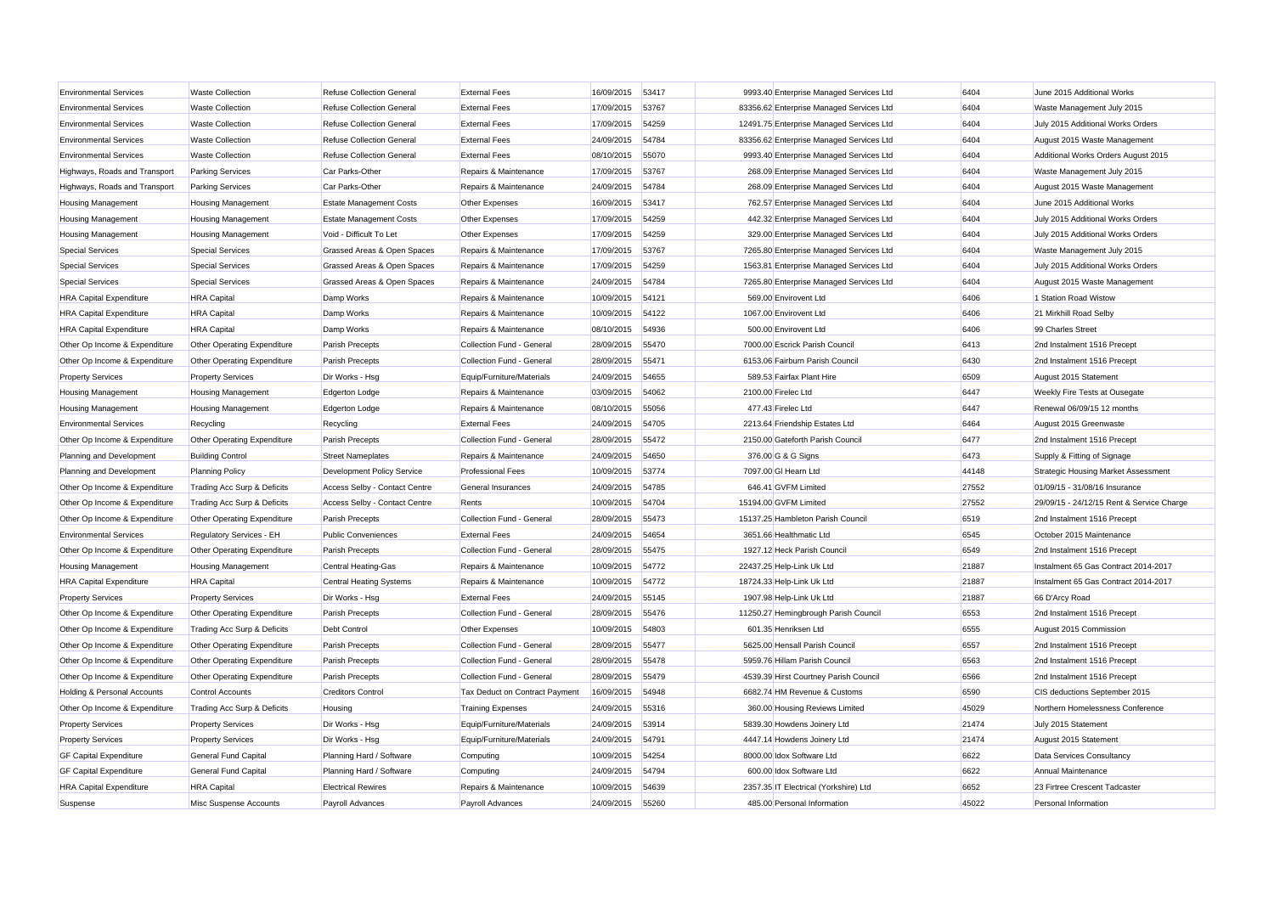| <b>Environmental Services</b>  | <b>Waste Collection</b>     | <b>Refuse Collection General</b> | <b>External Fees</b>           | 16/09/2015 53417 |       | 9993.40 Enterprise Managed Services Ltd  | 6404  | June 2015 Additional Works                |
|--------------------------------|-----------------------------|----------------------------------|--------------------------------|------------------|-------|------------------------------------------|-------|-------------------------------------------|
| <b>Environmental Services</b>  | <b>Waste Collection</b>     | <b>Refuse Collection General</b> | <b>External Fees</b>           | 17/09/2015       | 53767 | 83356.62 Enterprise Managed Services Ltd | 6404  | Waste Management July 2015                |
| <b>Environmental Services</b>  | <b>Waste Collection</b>     | <b>Refuse Collection General</b> | <b>External Fees</b>           | 17/09/2015       | 54259 | 12491.75 Enterprise Managed Services Ltd | 6404  | July 2015 Additional Works Orders         |
| <b>Environmental Services</b>  | <b>Waste Collection</b>     | <b>Refuse Collection General</b> | <b>External Fees</b>           | 24/09/2015       | 54784 | 83356.62 Enterprise Managed Services Ltd | 6404  | August 2015 Waste Management              |
| <b>Environmental Services</b>  | <b>Waste Collection</b>     | <b>Refuse Collection General</b> | <b>External Fees</b>           | 08/10/2015       | 55070 | 9993.40 Enterprise Managed Services Ltd  | 6404  | Additional Works Orders August 2015       |
| Highways, Roads and Transport  | <b>Parking Services</b>     | Car Parks-Other                  | Repairs & Maintenance          | 17/09/2015       | 53767 | 268.09 Enterprise Managed Services Ltd   | 6404  | Waste Management July 2015                |
| Highways, Roads and Transport  | <b>Parking Services</b>     | Car Parks-Other                  | Repairs & Maintenance          | 24/09/2015       | 54784 | 268.09 Enterprise Managed Services Ltd   | 6404  | August 2015 Waste Management              |
| <b>Housing Management</b>      | <b>Housing Management</b>   | <b>Estate Management Costs</b>   | Other Expenses                 | 16/09/2015       | 53417 | 762.57 Enterprise Managed Services Ltd   | 6404  | June 2015 Additional Works                |
| <b>Housing Management</b>      | <b>Housing Management</b>   | <b>Estate Management Costs</b>   | Other Expenses                 | 17/09/2015       | 54259 | 442.32 Enterprise Managed Services Ltd   | 6404  | July 2015 Additional Works Orders         |
| <b>Housing Management</b>      | <b>Housing Management</b>   | Void - Difficult To Let          | Other Expenses                 | 17/09/2015       | 54259 | 329.00 Enterprise Managed Services Ltd   | 6404  | July 2015 Additional Works Orders         |
| <b>Special Services</b>        | <b>Special Services</b>     | Grassed Areas & Open Spaces      | Repairs & Maintenance          | 17/09/2015       | 53767 | 7265.80 Enterprise Managed Services Ltd  | 6404  | Waste Management July 2015                |
| <b>Special Services</b>        | <b>Special Services</b>     | Grassed Areas & Open Spaces      | Repairs & Maintenance          | 17/09/2015       | 54259 | 1563.81 Enterprise Managed Services Ltd  | 6404  | July 2015 Additional Works Orders         |
| <b>Special Services</b>        | <b>Special Services</b>     | Grassed Areas & Open Spaces      | Repairs & Maintenance          | 24/09/2015       | 54784 | 7265.80 Enterprise Managed Services Ltd  | 6404  | August 2015 Waste Management              |
| <b>HRA Capital Expenditure</b> | <b>HRA</b> Capital          | Damp Works                       | Repairs & Maintenance          | 10/09/2015       | 54121 | 569.00 Envirovent Ltd                    | 6406  | 1 Station Road Wistow                     |
| <b>HRA Capital Expenditure</b> | <b>HRA</b> Capital          | Damp Works                       | Repairs & Maintenance          | 10/09/2015       | 54122 | 1067.00 Envirovent Ltd                   | 6406  | 21 Mirkhill Road Selby                    |
| <b>HRA Capital Expenditure</b> | <b>HRA</b> Capital          | Damp Works                       | Repairs & Maintenance          | 08/10/2015       | 54936 | 500.00 Envirovent Ltd                    | 6406  | 99 Charles Street                         |
| Other Op Income & Expenditure  | Other Operating Expenditure | Parish Precepts                  | Collection Fund - General      | 28/09/2015       | 55470 | 7000.00 Escrick Parish Council           | 6413  | 2nd Instalment 1516 Precept               |
| Other Op Income & Expenditure  | Other Operating Expenditure | Parish Precepts                  | Collection Fund - General      | 28/09/2015       | 55471 | 6153.06 Fairburn Parish Council          | 6430  | 2nd Instalment 1516 Precept               |
| <b>Property Services</b>       | <b>Property Services</b>    | Dir Works - Hsg                  | Equip/Furniture/Materials      | 24/09/2015       | 54655 | 589.53 Fairfax Plant Hire                | 6509  | August 2015 Statement                     |
| <b>Housing Management</b>      | <b>Housing Management</b>   | <b>Edgerton Lodge</b>            | Repairs & Maintenance          | 03/09/2015       | 54062 | 2100.00 Firelec Ltd                      | 6447  | <b>Weekly Fire Tests at Ousegate</b>      |
| <b>Housing Management</b>      | <b>Housing Management</b>   | <b>Edgerton Lodge</b>            | Repairs & Maintenance          | 08/10/2015       | 55056 | 477.43 Firelec Ltd                       | 6447  | Renewal 06/09/15 12 months                |
| <b>Environmental Services</b>  | Recycling                   | Recycling                        | <b>External Fees</b>           | 24/09/2015       | 54705 | 2213.64 Friendship Estates Ltd           | 6464  | August 2015 Greenwaste                    |
| Other Op Income & Expenditure  | Other Operating Expenditure | Parish Precepts                  | Collection Fund - General      | 28/09/2015       | 55472 | 2150.00 Gateforth Parish Council         | 6477  | 2nd Instalment 1516 Precept               |
| Planning and Development       | <b>Building Control</b>     | <b>Street Nameplates</b>         | Repairs & Maintenance          | 24/09/2015       | 54650 | 376.00 G & G Signs                       | 6473  | Supply & Fitting of Signage               |
| Planning and Development       | <b>Planning Policy</b>      | Development Policy Service       | <b>Professional Fees</b>       | 10/09/2015       | 53774 | 7097.00 GI Hearn Ltd                     | 44148 | Strategic Housing Market Assessment       |
| Other Op Income & Expenditure  | Trading Acc Surp & Deficits | Access Selby - Contact Centre    | General Insurances             | 24/09/2015       | 54785 | 646.41 GVFM Limited                      | 27552 | 01/09/15 - 31/08/16 Insurance             |
| Other Op Income & Expenditure  | Trading Acc Surp & Deficits | Access Selby - Contact Centre    | Rents                          | 10/09/2015       | 54704 | 15194.00 GVFM Limited                    | 27552 | 29/09/15 - 24/12/15 Rent & Service Charge |
| Other Op Income & Expenditure  | Other Operating Expenditure | Parish Precepts                  | Collection Fund - General      | 28/09/2015       | 55473 | 15137.25 Hambleton Parish Council        | 6519  | 2nd Instalment 1516 Precept               |
| <b>Environmental Services</b>  | Regulatory Services - EH    | <b>Public Conveniences</b>       | <b>External Fees</b>           | 24/09/2015       | 54654 | 3651.66 Healthmatic Ltd                  | 6545  | October 2015 Maintenance                  |
| Other Op Income & Expenditure  | Other Operating Expenditure | Parish Precepts                  | Collection Fund - General      | 28/09/2015       | 55475 | 1927.12 Heck Parish Council              | 6549  | 2nd Instalment 1516 Precept               |
| <b>Housing Management</b>      | <b>Housing Management</b>   | Central Heating-Gas              | Repairs & Maintenance          | 10/09/2015       | 54772 | 22437.25 Help-Link Uk Ltd                | 21887 | Instalment 65 Gas Contract 2014-2017      |
| <b>HRA Capital Expenditure</b> | <b>HRA</b> Capital          | <b>Central Heating Systems</b>   | Repairs & Maintenance          | 10/09/2015       | 54772 | 18724.33 Help-Link Uk Ltd                | 21887 | Instalment 65 Gas Contract 2014-2017      |
| <b>Property Services</b>       | <b>Property Services</b>    | Dir Works - Hsg                  | <b>External Fees</b>           | 24/09/2015       | 55145 | 1907.98 Help-Link Uk Ltd                 | 21887 | 66 D'Arcy Road                            |
| Other Op Income & Expenditure  | Other Operating Expenditure | <b>Parish Precepts</b>           | Collection Fund - General      | 28/09/2015       | 55476 | 11250.27 Hemingbrough Parish Council     | 6553  | 2nd Instalment 1516 Precept               |
| Other Op Income & Expenditure  | Trading Acc Surp & Deficits | <b>Debt Control</b>              | Other Expenses                 | 10/09/2015       | 54803 | 601.35 Henriksen Ltd                     | 6555  | August 2015 Commission                    |
| Other Op Income & Expenditure  | Other Operating Expenditure | Parish Precepts                  | Collection Fund - General      | 28/09/2015       | 55477 | 5625.00 Hensall Parish Council           | 6557  | 2nd Instalment 1516 Precept               |
| Other Op Income & Expenditure  | Other Operating Expenditure | Parish Precepts                  | Collection Fund - General      | 28/09/2015       | 55478 | 5959.76 Hillam Parish Council            | 6563  | 2nd Instalment 1516 Precept               |
| Other Op Income & Expenditure  | Other Operating Expenditure | <b>Parish Precepts</b>           | Collection Fund - General      | 28/09/2015       | 55479 | 4539.39 Hirst Courtney Parish Council    | 6566  | 2nd Instalment 1516 Precept               |
| Holding & Personal Accounts    | <b>Control Accounts</b>     | <b>Creditors Control</b>         | Tax Deduct on Contract Payment | 16/09/2015       | 54948 | 6682.74 HM Revenue & Customs             | 6590  | CIS deductions September 2015             |
| Other Op Income & Expenditure  | Trading Acc Surp & Deficits | Housing                          | <b>Training Expenses</b>       | 24/09/2015       | 55316 | 360.00 Housing Reviews Limited           | 45029 | Northern Homelessness Conference          |
| <b>Property Services</b>       | <b>Property Services</b>    | Dir Works - Hsg                  | Equip/Furniture/Materials      | 24/09/2015       | 53914 | 5839.30 Howdens Joinery Ltd              | 21474 | July 2015 Statement                       |
| <b>Property Services</b>       | <b>Property Services</b>    | Dir Works - Hsq                  | Equip/Furniture/Materials      | 24/09/2015       | 54791 | 4447.14 Howdens Joinery Ltd              | 21474 | August 2015 Statement                     |
| <b>GF Capital Expenditure</b>  | <b>General Fund Capital</b> | Planning Hard / Software         | Computing                      | 10/09/2015       | 54254 | 8000.00 Idox Software Ltd                | 6622  | Data Services Consultancy                 |
| <b>GF Capital Expenditure</b>  | <b>General Fund Capital</b> | Planning Hard / Software         | Computing                      | 24/09/2015       | 54794 | 600.00 Idox Software Ltd                 | 6622  | Annual Maintenance                        |
| <b>HRA Capital Expenditure</b> | <b>HRA</b> Capital          | <b>Electrical Rewires</b>        | Repairs & Maintenance          | 10/09/2015       | 54639 | 2357.35 IT Electrical (Yorkshire) Ltd    | 6652  | 23 Firtree Crescent Tadcaster             |
| Suspense                       | Misc Suspense Accounts      | Payroll Advances                 | Payroll Advances               | 24/09/2015       | 55260 | 485.00 Personal Information              | 45022 | Personal Information                      |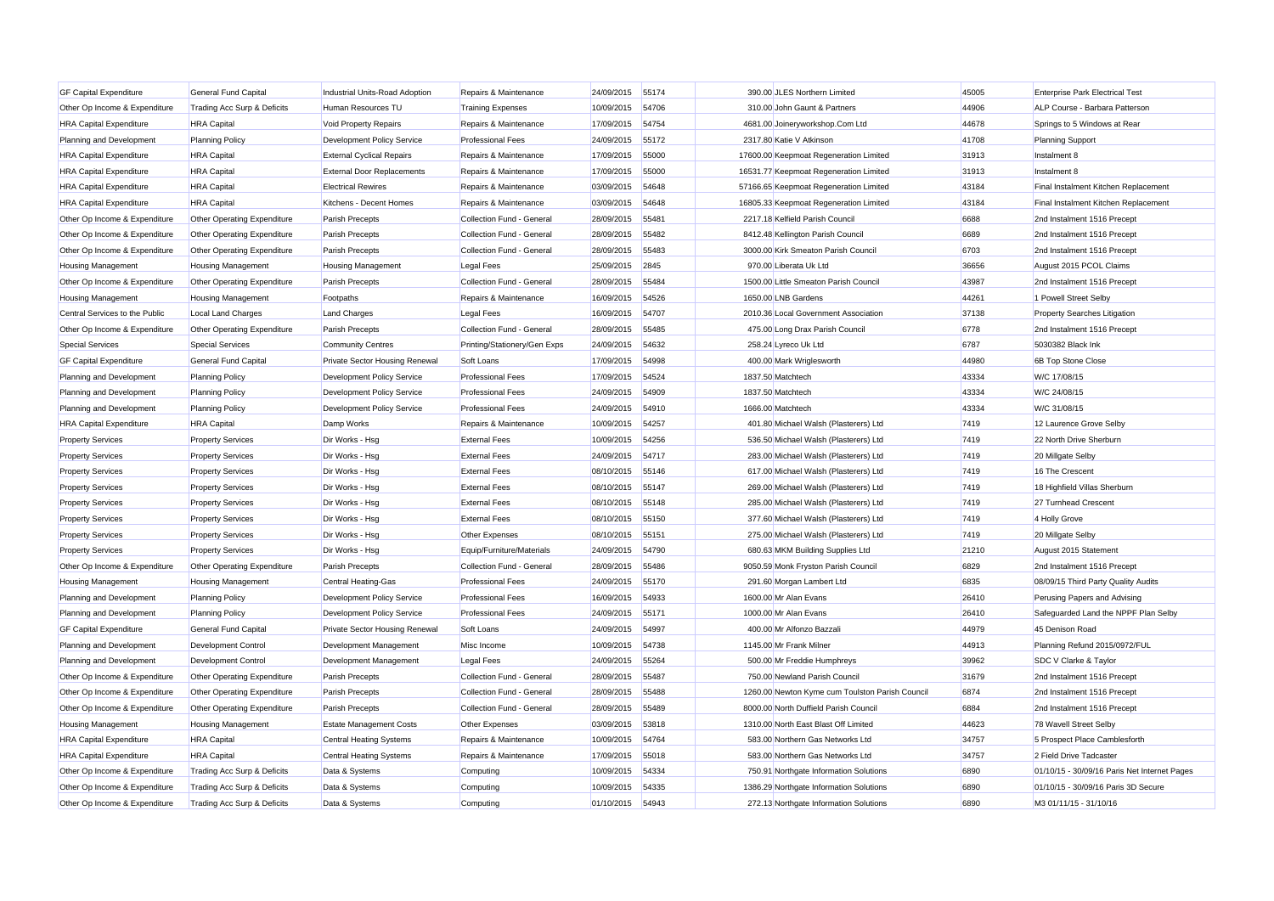| 44906<br>Other Op Income & Expenditure<br>Human Resources TU<br>10/09/2015<br>310.00 John Gaunt & Partners<br>Trading Acc Surp & Deficits<br><b>Training Expenses</b><br>54706<br>44678<br><b>HRA Capital Expenditure</b><br><b>HRA</b> Capital<br>Void Property Repairs<br>Repairs & Maintenance<br>17/09/2015<br>54754<br>4681.00 Joineryworkshop.Com Ltd | ALP Course - Barbara Patterson               |
|-------------------------------------------------------------------------------------------------------------------------------------------------------------------------------------------------------------------------------------------------------------------------------------------------------------------------------------------------------------|----------------------------------------------|
|                                                                                                                                                                                                                                                                                                                                                             |                                              |
|                                                                                                                                                                                                                                                                                                                                                             | Springs to 5 Windows at Rear                 |
| 41708<br><b>Planning Policy</b><br>24/09/2015<br>55172<br>Planning and Development<br>Development Policy Service<br><b>Professional Fees</b><br>2317.80 Katie V Atkinson                                                                                                                                                                                    | <b>Planning Support</b>                      |
| Repairs & Maintenance<br>17/09/2015<br>17600.00 Keepmoat Regeneration Limited<br>31913<br><b>HRA Capital Expenditure</b><br><b>HRA</b> Capital<br><b>External Cyclical Repairs</b><br>55000<br>Instalment 8                                                                                                                                                 |                                              |
| 31913<br><b>HRA Capital Expenditure</b><br><b>HRA</b> Capital<br><b>External Door Replacements</b><br>Repairs & Maintenance<br>17/09/2015<br>55000<br>16531.77 Keepmoat Regeneration Limited<br>Instalment 8                                                                                                                                                |                                              |
| <b>HRA</b> Capital<br>03/09/2015<br>54648<br>57166.65 Keepmoat Regeneration Limited<br>43184<br><b>HRA Capital Expenditure</b><br><b>Electrical Rewires</b><br>Repairs & Maintenance                                                                                                                                                                        | Final Instalment Kitchen Replacement         |
| 43184<br><b>HRA</b> Capital<br>Repairs & Maintenance<br>03/09/2015<br>54648<br>16805.33 Keepmoat Regeneration Limited<br><b>HRA Capital Expenditure</b><br>Kitchens - Decent Homes                                                                                                                                                                          | Final Instalment Kitchen Replacement         |
| 28/09/2015<br>2217.18 Kelfield Parish Council<br>6688<br>Other Op Income & Expenditure<br>Other Operating Expenditure<br><b>Parish Precepts</b><br>Collection Fund - General<br>55481                                                                                                                                                                       | 2nd Instalment 1516 Precept                  |
| 6689<br>Collection Fund - General<br>28/09/2015<br>8412.48 Kellington Parish Council<br>Other Op Income & Expenditure<br>Other Operating Expenditure<br>Parish Precepts<br>55482                                                                                                                                                                            | 2nd Instalment 1516 Precept                  |
| Collection Fund - General<br>28/09/2015<br>55483<br>3000.00 Kirk Smeaton Parish Council<br>6703<br>Other Op Income & Expenditure<br>Other Operating Expenditure<br>Parish Precepts                                                                                                                                                                          | 2nd Instalment 1516 Precept                  |
| 36656<br><b>Legal Fees</b><br>25/09/2015<br>2845<br>970.00 Liberata Uk Ltd<br><b>Housing Management</b><br><b>Housing Management</b><br><b>Housing Management</b>                                                                                                                                                                                           | August 2015 PCOL Claims                      |
| Collection Fund - General<br>28/09/2015<br>55484<br>1500.00 Little Smeaton Parish Council<br>43987<br>Other Op Income & Expenditure<br>Other Operating Expenditure<br>Parish Precepts                                                                                                                                                                       | 2nd Instalment 1516 Precept                  |
| 44261<br>Repairs & Maintenance<br>16/09/2015<br>54526<br>1650.00 LNB Gardens<br><b>Housing Management</b><br><b>Housing Management</b><br>Footpaths                                                                                                                                                                                                         | 1 Powell Street Selby                        |
| 16/09/2015<br>2010.36 Local Government Association<br>37138<br>Central Services to the Public<br><b>Local Land Charges</b><br><b>Land Charges</b><br><b>Legal Fees</b><br>54707                                                                                                                                                                             | Property Searches Litigation                 |
| 6778<br>Other Op Income & Expenditure<br>Other Operating Expenditure<br>Collection Fund - General<br>28/09/2015<br>55485<br>475.00 Long Drax Parish Council<br>Parish Precepts                                                                                                                                                                              | 2nd Instalment 1516 Precept                  |
| 6787<br><b>Special Services</b><br><b>Special Services</b><br><b>Community Centres</b><br>Printing/Stationery/Gen Exps<br>24/09/2015<br>54632<br>258.24 Lyreco Uk Ltd                                                                                                                                                                                       | 5030382 Black Ink                            |
| 17/09/2015<br>44980<br><b>GF Capital Expenditure</b><br>General Fund Capital<br><b>Private Sector Housing Renewal</b><br>Soft Loans<br>54998<br>400.00 Mark Wriglesworth                                                                                                                                                                                    | 6B Top Stone Close                           |
| Development Policy Service<br><b>Professional Fees</b><br>1837.50 Matchtech<br>43334<br>Planning and Development<br><b>Planning Policy</b><br>17/09/2015<br>54524                                                                                                                                                                                           | W/C 17/08/15                                 |
| 43334<br>24/09/2015<br>54909<br>1837.50 Matchtech<br>Planning and Development<br><b>Planning Policy</b><br>Development Policy Service<br><b>Professional Fees</b>                                                                                                                                                                                           | W/C 24/08/15                                 |
| 24/09/2015<br>1666.00 Matchtech<br>43334<br>Planning and Development<br><b>Planning Policy</b><br>Development Policy Service<br><b>Professional Fees</b><br>54910                                                                                                                                                                                           | W/C 31/08/15                                 |
| <b>HRA Capital Expenditure</b><br>Repairs & Maintenance<br>10/09/2015<br>401.80 Michael Walsh (Plasterers) Ltd<br>7419<br><b>HRA</b> Capital<br>Damp Works<br>54257                                                                                                                                                                                         | 12 Laurence Grove Selby                      |
| 7419<br><b>Property Services</b><br><b>Property Services</b><br>Dir Works - Hsg<br><b>External Fees</b><br>10/09/2015<br>54256<br>536.50 Michael Walsh (Plasterers) Ltd                                                                                                                                                                                     | 22 North Drive Sherburn                      |
| 7419<br>Dir Works - Hsg<br>24/09/2015<br>54717<br>283.00 Michael Walsh (Plasterers) Ltd<br><b>Property Services</b><br><b>Property Services</b><br><b>External Fees</b>                                                                                                                                                                                     | 20 Millgate Selby                            |
| <b>Property Services</b><br><b>Property Services</b><br>Dir Works - Hsg<br><b>External Fees</b><br>08/10/2015<br>55146<br>617.00 Michael Walsh (Plasterers) Ltd<br>7419                                                                                                                                                                                     | 16 The Crescent                              |
| <b>Property Services</b><br><b>External Fees</b><br>7419<br><b>Property Services</b><br>Dir Works - Hsg<br>08/10/2015<br>55147<br>269.00 Michael Walsh (Plasterers) Ltd                                                                                                                                                                                     | 18 Highfield Villas Sherburn                 |
| 7419<br><b>Property Services</b><br><b>Property Services</b><br>Dir Works - Hsg<br><b>External Fees</b><br>08/10/2015<br>55148<br>285.00 Michael Walsh (Plasterers) Ltd                                                                                                                                                                                     | 27 Turnhead Crescent                         |
| 08/10/2015<br>55150<br>7419<br><b>Property Services</b><br><b>Property Services</b><br>Dir Works - Hsg<br><b>External Fees</b><br>377.60 Michael Walsh (Plasterers) Ltd                                                                                                                                                                                     | 4 Holly Grove                                |
| <b>Property Services</b><br>Other Expenses<br>08/10/2015<br>7419<br><b>Property Services</b><br>Dir Works - Hsg<br>55151<br>275.00 Michael Walsh (Plasterers) Ltd                                                                                                                                                                                           | 20 Millgate Selby                            |
| 21210<br><b>Property Services</b><br>Dir Works - Hsq<br>Equip/Furniture/Materials<br>24/09/2015<br>54790<br>680.63 MKM Building Supplies Ltd<br><b>Property Services</b>                                                                                                                                                                                    | August 2015 Statement                        |
| 6829<br>Other Op Income & Expenditure<br>Other Operating Expenditure<br><b>Parish Precepts</b><br>Collection Fund - General<br>28/09/2015<br>55486<br>9050.59 Monk Fryston Parish Council                                                                                                                                                                   | 2nd Instalment 1516 Precept                  |
| <b>Professional Fees</b><br>24/09/2015<br>6835<br><b>Housing Management</b><br><b>Housing Management</b><br>Central Heating-Gas<br>55170<br>291.60 Morgan Lambert Ltd                                                                                                                                                                                       | 08/09/15 Third Party Quality Audits          |
| <b>Professional Fees</b><br>16/09/2015<br>54933<br>1600.00 Mr Alan Evans<br>26410<br>Planning and Development<br><b>Planning Policy</b><br>Development Policy Service                                                                                                                                                                                       | Perusing Papers and Advising                 |
| 24/09/2015<br>26410<br>Planning and Development<br><b>Planning Policy</b><br>Development Policy Service<br><b>Professional Fees</b><br>55171<br>1000.00 Mr Alan Evans                                                                                                                                                                                       | Safeguarded Land the NPPF Plan Selby         |
| 24/09/2015<br>54997<br>400.00 Mr Alfonzo Bazzali<br>44979<br><b>GF Capital Expenditure</b><br><b>General Fund Capital</b><br><b>Private Sector Housing Renewal</b><br>Soft Loans                                                                                                                                                                            | 45 Denison Road                              |
| 44913<br>10/09/2015<br>54738<br>1145.00 Mr Frank Milner<br>Development Control<br>Development Management<br>Misc Income<br>Planning and Development                                                                                                                                                                                                         | Planning Refund 2015/0972/FUL                |
| 24/09/2015<br>39962<br>Planning and Development<br>Development Control<br>Development Management<br><b>Legal Fees</b><br>55264<br>500.00 Mr Freddie Humphreys                                                                                                                                                                                               | SDC V Clarke & Taylor                        |
| 31679<br>Collection Fund - General<br>750.00 Newland Parish Council<br>Other Op Income & Expenditure<br>Other Operating Expenditure<br>Parish Precepts<br>28/09/2015<br>55487                                                                                                                                                                               | 2nd Instalment 1516 Precept                  |
| Other Op Income & Expenditure<br>Other Operating Expenditure<br><b>Parish Precepts</b><br>Collection Fund - General<br>28/09/2015<br>55488<br>1260.00 Newton Kyme cum Toulston Parish Council<br>6874                                                                                                                                                       | 2nd Instalment 1516 Precept                  |
| Collection Fund - General<br>28/09/2015<br>55489<br>8000.00 North Duffield Parish Counci<br>6884<br>Other Op Income & Expenditure<br>Other Operating Expenditure<br>Parish Precepts                                                                                                                                                                         | 2nd Instalment 1516 Precept                  |
| Other Expenses<br>03/09/2015<br>1310.00 North East Blast Off Limited<br>44623<br><b>Housing Management</b><br><b>Housing Management</b><br><b>Estate Management Costs</b><br>53818                                                                                                                                                                          | 78 Wavell Street Selby                       |
| 34757<br>10/09/2015<br>583.00 Northern Gas Networks Ltd<br><b>HRA Capital Expenditure</b><br><b>HRA</b> Capital<br>Central Heating Systems<br>Repairs & Maintenance<br>54764                                                                                                                                                                                | 5 Prospect Place Camblesforth                |
| 34757<br><b>HRA Capital Expenditure</b><br><b>HRA</b> Capital<br><b>Central Heating Systems</b><br>Repairs & Maintenance<br>17/09/2015<br>55018<br>583.00 Northern Gas Networks Ltd                                                                                                                                                                         | 2 Field Drive Tadcaster                      |
| 10/09/2015<br>54334<br>6890<br>Trading Acc Surp & Deficits<br>Data & Systems<br>750.91 Northgate Information Solutions<br>Other Op Income & Expenditure<br>Computing                                                                                                                                                                                        | 01/10/15 - 30/09/16 Paris Net Internet Pages |
| 10/09/2015<br>54335<br>1386.29 Northgate Information Solutions<br>6890<br>Other Op Income & Expenditure<br>Trading Acc Surp & Deficits<br>Data & Systems<br>Computing                                                                                                                                                                                       | 01/10/15 - 30/09/16 Paris 3D Secure          |
| 01/10/2015<br>54943<br>6890<br>Other Op Income & Expenditure<br>Trading Acc Surp & Deficits<br>272.13 Northgate Information Solutions<br>Data & Systems<br>Computing                                                                                                                                                                                        | M3 01/11/15 - 31/10/16                       |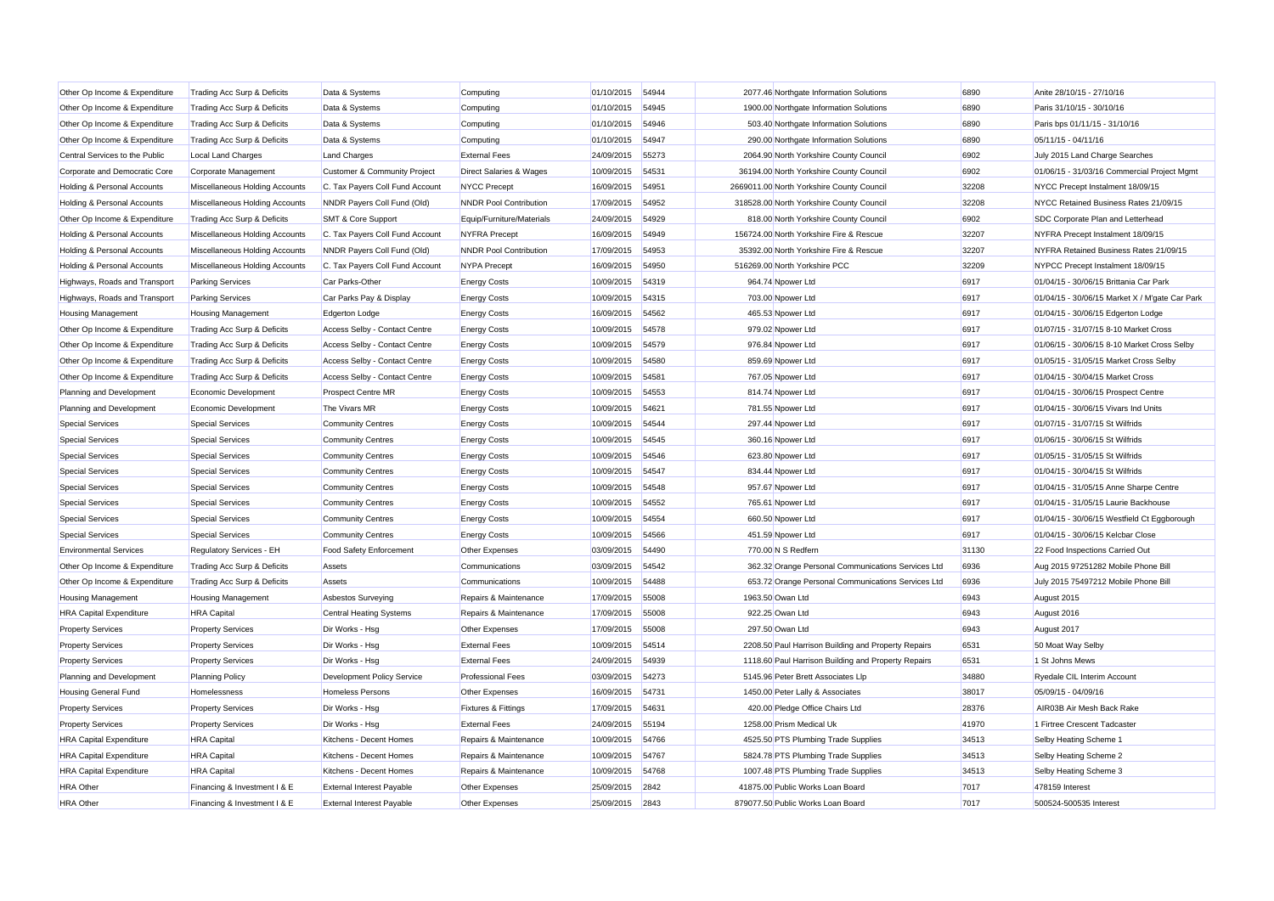| Other Op Income & Expenditure          | Trading Acc Surp & Deficits    | Data & Systems                   | Computing                      | 01/10/2015 | 54944 | 2077.46 Northgate Information Solutions<br>6890     |       | Anite 28/10/15 - 27/10/16                      |
|----------------------------------------|--------------------------------|----------------------------------|--------------------------------|------------|-------|-----------------------------------------------------|-------|------------------------------------------------|
| Other Op Income & Expenditure          | Trading Acc Surp & Deficits    | Data & Systems                   | Computing                      | 01/10/2015 | 54945 | 1900.00 Northgate Information Solutions<br>6890     |       | Paris 31/10/15 - 30/10/16                      |
| Other Op Income & Expenditure          | Trading Acc Surp & Deficits    | Data & Systems                   | Computing                      | 01/10/2015 | 54946 | 503.40 Northgate Information Solutions              | 6890  | Paris bps 01/11/15 - 31/10/16                  |
| Other Op Income & Expenditure          | Trading Acc Surp & Deficits    | Data & Systems                   | Computing                      | 01/10/2015 | 54947 | 290.00 Northgate Information Solutions              | 6890  | 05/11/15 - 04/11/16                            |
| Central Services to the Public         | <b>Local Land Charges</b>      | <b>Land Charges</b>              | <b>External Fees</b>           | 24/09/2015 | 55273 | 2064.90 North Yorkshire County Council              | 6902  | July 2015 Land Charge Searches                 |
| Corporate and Democratic Core          | Corporate Management           | Customer & Community Project     | Direct Salaries & Wages        | 10/09/2015 | 54531 | 36194.00 North Yorkshire County Council             | 6902  | 01/06/15 - 31/03/16 Commercial Project Mgmt    |
| <b>Holding &amp; Personal Accounts</b> | Miscellaneous Holding Accounts | C. Tax Payers Coll Fund Account  | <b>NYCC Precept</b>            | 16/09/2015 | 54951 | 2669011.00 North Yorkshire County Council           | 32208 | NYCC Precept Instalment 18/09/15               |
| <b>Holding &amp; Personal Accounts</b> | Miscellaneous Holding Accounts | NNDR Payers Coll Fund (Old)      | <b>NNDR Pool Contribution</b>  | 17/09/2015 | 54952 | 318528.00 North Yorkshire County Council            | 32208 | NYCC Retained Business Rates 21/09/15          |
| Other Op Income & Expenditure          | Trading Acc Surp & Deficits    | <b>SMT &amp; Core Support</b>    | Equip/Furniture/Materials      | 24/09/2015 | 54929 | 818.00 North Yorkshire County Council               | 6902  | SDC Corporate Plan and Letterhead              |
| <b>Holding &amp; Personal Accounts</b> | Miscellaneous Holding Accounts | C. Tax Payers Coll Fund Account  | <b>NYFRA Precept</b>           | 16/09/2015 | 54949 | 156724.00 North Yorkshire Fire & Rescue             | 32207 | NYFRA Precept Instalment 18/09/15              |
| <b>Holding &amp; Personal Accounts</b> | Miscellaneous Holding Accounts | NNDR Payers Coll Fund (Old)      | <b>NNDR Pool Contribution</b>  | 17/09/2015 | 54953 | 35392.00 North Yorkshire Fire & Rescue              | 32207 | NYFRA Retained Business Rates 21/09/15         |
| <b>Holding &amp; Personal Accounts</b> | Miscellaneous Holding Accounts | C. Tax Payers Coll Fund Account  | <b>NYPA Precept</b>            | 16/09/2015 | 54950 | 516269.00 North Yorkshire PCC                       | 32209 | NYPCC Precept Instalment 18/09/15              |
| Highways, Roads and Transport          | <b>Parking Services</b>        | Car Parks-Other                  | <b>Energy Costs</b>            | 10/09/2015 | 54319 | 964.74 Npower Ltd                                   | 6917  | 01/04/15 - 30/06/15 Brittania Car Park         |
| Highways, Roads and Transport          | <b>Parking Services</b>        | Car Parks Pay & Display          | <b>Energy Costs</b>            | 10/09/2015 | 54315 | 703.00 Npower Ltd                                   | 6917  | 01/04/15 - 30/06/15 Market X / M'gate Car Park |
| <b>Housing Management</b>              | <b>Housing Management</b>      | Edgerton Lodge                   | <b>Energy Costs</b>            | 16/09/2015 | 54562 | 465.53 Npower Ltd                                   | 6917  | 01/04/15 - 30/06/15 Edgerton Lodge             |
| Other Op Income & Expenditure          | Trading Acc Surp & Deficits    | Access Selby - Contact Centre    | <b>Energy Costs</b>            | 10/09/2015 | 54578 | 979.02 Npower Ltd                                   | 6917  | 01/07/15 - 31/07/15 8-10 Market Cross          |
| Other Op Income & Expenditure          | Trading Acc Surp & Deficits    | Access Selby - Contact Centre    | <b>Energy Costs</b>            | 10/09/2015 | 54579 | 976.84 Npower Ltd                                   | 6917  | 01/06/15 - 30/06/15 8-10 Market Cross Selby    |
| Other Op Income & Expenditure          | Trading Acc Surp & Deficits    | Access Selby - Contact Centre    | <b>Energy Costs</b>            | 10/09/2015 | 54580 | 859.69 Npower Ltd                                   | 6917  | 01/05/15 - 31/05/15 Market Cross Selby         |
| Other Op Income & Expenditure          | Trading Acc Surp & Deficits    | Access Selby - Contact Centre    | <b>Energy Costs</b>            | 10/09/2015 | 54581 | 767.05 Npower Ltd                                   | 6917  | 01/04/15 - 30/04/15 Market Cross               |
| Planning and Development               | Economic Development           | <b>Prospect Centre MR</b>        | <b>Energy Costs</b>            | 10/09/2015 | 54553 | 814.74 Npower Ltd                                   | 6917  | 01/04/15 - 30/06/15 Prospect Centre            |
| Planning and Development               | Economic Development           | The Vivars MR                    | <b>Energy Costs</b>            | 10/09/2015 | 54621 | 781.55 Npower Ltd                                   | 6917  | 01/04/15 - 30/06/15 Vivars Ind Units           |
| <b>Special Services</b>                | <b>Special Services</b>        | <b>Community Centres</b>         | <b>Energy Costs</b>            | 10/09/2015 | 54544 | 297.44 Npower Ltd                                   | 6917  | 01/07/15 - 31/07/15 St Wilfrids                |
| <b>Special Services</b>                | <b>Special Services</b>        | <b>Community Centres</b>         | <b>Energy Costs</b>            | 10/09/2015 | 54545 | 360.16 Npower Ltd                                   | 6917  | 01/06/15 - 30/06/15 St Wilfrids                |
| <b>Special Services</b>                | <b>Special Services</b>        | <b>Community Centres</b>         | <b>Energy Costs</b>            | 10/09/2015 | 54546 | 623.80 Npower Ltd                                   | 6917  | 01/05/15 - 31/05/15 St Wilfrids                |
| <b>Special Services</b>                | <b>Special Services</b>        | <b>Community Centres</b>         | <b>Energy Costs</b>            | 10/09/2015 | 54547 | 834.44 Npower Ltd                                   | 6917  | 01/04/15 - 30/04/15 St Wilfrids                |
| <b>Special Services</b>                | <b>Special Services</b>        | <b>Community Centres</b>         | <b>Energy Costs</b>            | 10/09/2015 | 54548 | 957.67 Npower Ltd                                   | 6917  | 01/04/15 - 31/05/15 Anne Sharpe Centre         |
| <b>Special Services</b>                | <b>Special Services</b>        | <b>Community Centres</b>         | <b>Energy Costs</b>            | 10/09/2015 | 54552 | 765.61 Npower Ltd                                   | 6917  | 01/04/15 - 31/05/15 Laurie Backhouse           |
| <b>Special Services</b>                | <b>Special Services</b>        | <b>Community Centres</b>         | <b>Energy Costs</b>            | 10/09/2015 | 54554 | 660.50 Npower Ltd                                   | 6917  | 01/04/15 - 30/06/15 Westfield Ct Eggborough    |
| <b>Special Services</b>                | <b>Special Services</b>        | <b>Community Centres</b>         | <b>Energy Costs</b>            | 10/09/2015 | 54566 | 451.59 Npower Ltd                                   | 6917  | 01/04/15 - 30/06/15 Kelcbar Close              |
| <b>Environmental Services</b>          | Regulatory Services - EH       | <b>Food Safety Enforcement</b>   | Other Expenses                 | 03/09/2015 | 54490 | 770.00 N S Redfern                                  | 31130 | 22 Food Inspections Carried Out                |
| Other Op Income & Expenditure          | Trading Acc Surp & Deficits    | Assets                           | Communications                 | 03/09/2015 | 54542 | 362.32 Orange Personal Communications Services Ltd  | 6936  | Aug 2015 97251282 Mobile Phone Bill            |
| Other Op Income & Expenditure          | Trading Acc Surp & Deficits    | Assets                           | Communications                 | 10/09/2015 | 54488 | 653.72 Orange Personal Communications Services Ltd  | 6936  | July 2015 75497212 Mobile Phone Bill           |
| <b>Housing Management</b>              | <b>Housing Management</b>      | <b>Asbestos Surveying</b>        | Repairs & Maintenance          | 17/09/2015 | 55008 | 1963.50 Owan Ltd                                    | 6943  | August 2015                                    |
| <b>HRA Capital Expenditure</b>         | <b>HRA</b> Capital             | <b>Central Heating Systems</b>   | Repairs & Maintenance          | 17/09/2015 | 55008 | 922.25 Owan Ltd                                     | 6943  | August 2016                                    |
| <b>Property Services</b>               | <b>Property Services</b>       | Dir Works - Hsg                  | Other Expenses                 | 17/09/2015 | 55008 | 297.50 Owan Ltd                                     | 6943  | August 2017                                    |
| <b>Property Services</b>               | <b>Property Services</b>       | Dir Works - Hsg                  | <b>External Fees</b>           | 10/09/2015 | 54514 | 2208.50 Paul Harrison Building and Property Repairs | 6531  | 50 Moat Way Selby                              |
| <b>Property Services</b>               | <b>Property Services</b>       | Dir Works - Hsg                  | <b>External Fees</b>           | 24/09/2015 | 54939 | 1118.60 Paul Harrison Building and Property Repairs | 6531  | 1 St Johns Mews                                |
| Planning and Development               | <b>Planning Policy</b>         | Development Policy Service       | <b>Professional Fees</b>       | 03/09/2015 | 54273 | 5145.96 Peter Brett Associates Llp                  | 34880 | Ryedale CIL Interim Account                    |
| <b>Housing General Fund</b>            | Homelessness                   | <b>Homeless Persons</b>          | Other Expenses                 | 16/09/2015 | 54731 | 1450.00 Peter Lally & Associates                    | 38017 | 05/09/15 - 04/09/16                            |
| <b>Property Services</b>               | <b>Property Services</b>       | Dir Works - Hsg                  | <b>Fixtures &amp; Fittings</b> | 17/09/2015 | 54631 | 420.00 Pledge Office Chairs Ltd                     | 28376 | AIR03B Air Mesh Back Rake                      |
| <b>Property Services</b>               | <b>Property Services</b>       | Dir Works - Hsg                  | <b>External Fees</b>           | 24/09/2015 | 55194 | 1258.00 Prism Medical Uk                            | 41970 | 1 Firtree Crescent Tadcaster                   |
| <b>HRA Capital Expenditure</b>         | <b>HRA</b> Capital             | Kitchens - Decent Homes          | Repairs & Maintenance          | 10/09/2015 | 54766 | 4525.50 PTS Plumbing Trade Supplies                 | 34513 | Selby Heating Scheme 1                         |
| <b>HRA Capital Expenditure</b>         | <b>HRA</b> Capital             | Kitchens - Decent Homes          | Repairs & Maintenance          | 10/09/2015 | 54767 | 5824.78 PTS Plumbing Trade Supplies                 | 34513 | Selby Heating Scheme 2                         |
| <b>HRA Capital Expenditure</b>         | <b>HRA</b> Capital             | Kitchens - Decent Homes          | Repairs & Maintenance          | 10/09/2015 | 54768 | 1007.48 PTS Plumbing Trade Supplies                 | 34513 | Selby Heating Scheme 3                         |
| <b>HRA Other</b>                       | Financing & Investment I & E   | <b>External Interest Payable</b> | Other Expenses                 | 25/09/2015 | 2842  | 41875.00 Public Works Loan Board                    | 7017  | 478159 Interest                                |
| <b>HRA</b> Other                       | Financing & Investment I & E   | <b>External Interest Payable</b> | Other Expenses                 | 25/09/2015 | 2843  | 879077.50 Public Works Loan Board                   | 7017  | 500524-500535 Interest                         |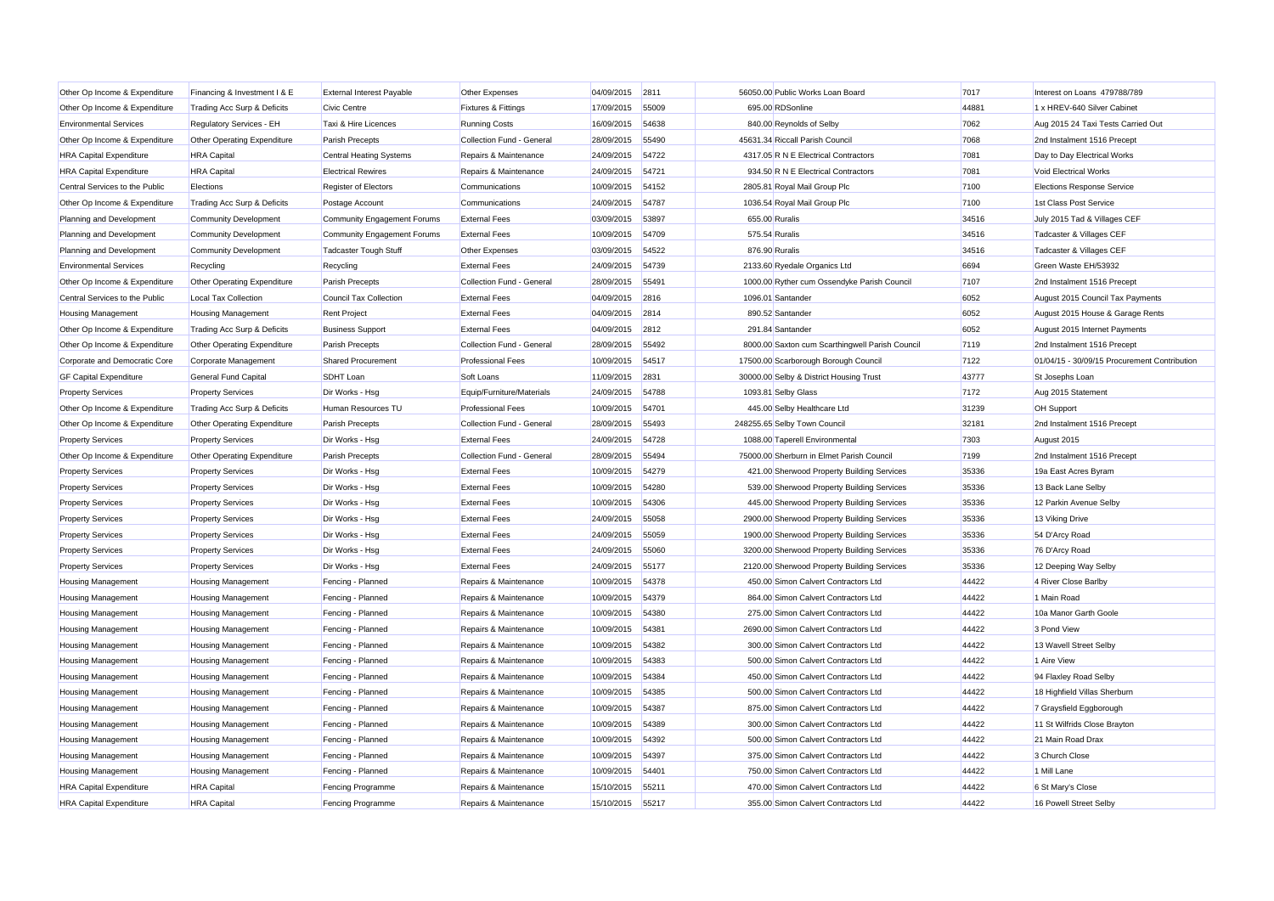| Other Op Income & Expenditure  | Financing & Investment I & E | <b>External Interest Payable</b> | Other Expenses                 | 04/09/2015 | 2811  |                | 56050.00 Public Works Loan Board                | 7017  | Interest on Loans 479788/789                 |
|--------------------------------|------------------------------|----------------------------------|--------------------------------|------------|-------|----------------|-------------------------------------------------|-------|----------------------------------------------|
| Other Op Income & Expenditure  | Trading Acc Surp & Deficits  | <b>Civic Centre</b>              | <b>Fixtures &amp; Fittings</b> | 17/09/2015 | 55009 |                | 695.00 RDSonline                                | 44881 | 1 x HREV-640 Silver Cabinet                  |
| <b>Environmental Services</b>  | Regulatory Services - EH     | Taxi & Hire Licences             | <b>Running Costs</b>           | 16/09/2015 | 54638 |                | 840.00 Reynolds of Selby                        | 7062  | Aug 2015 24 Taxi Tests Carried Out           |
| Other Op Income & Expenditure  | Other Operating Expenditure  | Parish Precepts                  | Collection Fund - General      | 28/09/2015 | 55490 |                | 45631.34 Riccall Parish Council                 | 7068  | 2nd Instalment 1516 Precept                  |
| <b>HRA Capital Expenditure</b> | <b>HRA</b> Capital           | Central Heating Systems          | Repairs & Maintenance          | 24/09/2015 | 54722 |                | 4317.05 R N E Electrical Contractors            | 7081  | Day to Day Electrical Works                  |
| <b>HRA Capital Expenditure</b> | <b>HRA</b> Capital           | <b>Electrical Rewires</b>        | Repairs & Maintenance          | 24/09/2015 | 54721 |                | 934.50 R N E Electrical Contractors             | 7081  | <b>Void Electrical Works</b>                 |
| Central Services to the Public | Elections                    | Register of Electors             | Communications                 | 10/09/2015 | 54152 |                | 2805.81 Royal Mail Group Plc                    | 7100  | <b>Elections Response Service</b>            |
| Other Op Income & Expenditure  | Trading Acc Surp & Deficits  | Postage Account                  | Communications                 | 24/09/2015 | 54787 |                | 1036.54 Royal Mail Group Plc                    | 7100  | 1st Class Post Service                       |
| Planning and Development       | <b>Community Development</b> | Community Engagement Forums      | <b>External Fees</b>           | 03/09/2015 | 53897 | 655.00 Ruralis |                                                 | 34516 | July 2015 Tad & Villages CEF                 |
| Planning and Development       | <b>Community Development</b> | Community Engagement Forums      | <b>External Fees</b>           | 10/09/2015 | 54709 | 575.54 Ruralis |                                                 | 34516 | Tadcaster & Villages CEF                     |
| Planning and Development       | Community Development        | Tadcaster Tough Stuff            | Other Expenses                 | 03/09/2015 | 54522 | 876.90 Ruralis |                                                 | 34516 | Tadcaster & Villages CEF                     |
| <b>Environmental Services</b>  | Recycling                    | Recycling                        | <b>External Fees</b>           | 24/09/2015 | 54739 |                | 2133.60 Ryedale Organics Ltd                    | 6694  | Green Waste EH/53932                         |
| Other Op Income & Expenditure  | Other Operating Expenditure  | Parish Precepts                  | Collection Fund - General      | 28/09/2015 | 55491 |                | 1000.00 Ryther cum Ossendyke Parish Council     | 7107  | 2nd Instalment 1516 Precept                  |
| Central Services to the Public | <b>Local Tax Collection</b>  | <b>Council Tax Collection</b>    | <b>External Fees</b>           | 04/09/2015 | 2816  |                | 1096.01 Santander                               | 6052  | August 2015 Council Tax Payments             |
| <b>Housing Management</b>      | <b>Housing Management</b>    | <b>Rent Project</b>              | <b>External Fees</b>           | 04/09/2015 | 2814  |                | 890.52 Santander                                | 6052  | August 2015 House & Garage Rents             |
| Other Op Income & Expenditure  | Trading Acc Surp & Deficits  | <b>Business Support</b>          | <b>External Fees</b>           | 04/09/2015 | 2812  |                | 291.84 Santander                                | 6052  | August 2015 Internet Payments                |
| Other Op Income & Expenditure  | Other Operating Expenditure  | <b>Parish Precepts</b>           | Collection Fund - General      | 28/09/2015 | 55492 |                | 8000.00 Saxton cum Scarthingwell Parish Council | 7119  | 2nd Instalment 1516 Precept                  |
| Corporate and Democratic Core  | Corporate Management         | <b>Shared Procurement</b>        | <b>Professional Fees</b>       | 10/09/2015 | 54517 |                | 17500.00 Scarborough Borough Council            | 7122  | 01/04/15 - 30/09/15 Procurement Contribution |
| <b>GF Capital Expenditure</b>  | <b>General Fund Capital</b>  | SDHT Loan                        | Soft Loans                     | 11/09/2015 | 2831  |                | 30000.00 Selby & District Housing Trust         | 43777 | St Josephs Loan                              |
| <b>Property Services</b>       | <b>Property Services</b>     | Dir Works - Hsg                  | Equip/Furniture/Materials      | 24/09/2015 | 54788 |                | 1093.81 Selby Glass                             | 7172  | Aug 2015 Statement                           |
| Other Op Income & Expenditure  | Trading Acc Surp & Deficits  | Human Resources TU               | <b>Professional Fees</b>       | 10/09/2015 | 54701 |                | 445.00 Selby Healthcare Ltd                     | 31239 | OH Support                                   |
| Other Op Income & Expenditure  | Other Operating Expenditure  | <b>Parish Precepts</b>           | Collection Fund - General      | 28/09/2015 | 55493 |                | 248255.65 Selby Town Council                    | 32181 | 2nd Instalment 1516 Precept                  |
| <b>Property Services</b>       | <b>Property Services</b>     | Dir Works - Hsg                  | <b>External Fees</b>           | 24/09/2015 | 54728 |                | 1088.00 Taperell Environmental                  | 7303  | August 2015                                  |
| Other Op Income & Expenditure  | Other Operating Expenditure  | <b>Parish Precepts</b>           | Collection Fund - General      | 28/09/2015 | 55494 |                | 75000.00 Sherburn in Elmet Parish Council       | 7199  | 2nd Instalment 1516 Precept                  |
| <b>Property Services</b>       | <b>Property Services</b>     | Dir Works - Hsg                  | <b>External Fees</b>           | 10/09/2015 | 54279 |                | 421.00 Sherwood Property Building Services      | 35336 | 19a East Acres Byram                         |
| <b>Property Services</b>       | <b>Property Services</b>     | Dir Works - Hsq                  | <b>External Fees</b>           | 10/09/2015 | 54280 |                | 539.00 Sherwood Property Building Services      | 35336 | 13 Back Lane Selby                           |
| <b>Property Services</b>       | <b>Property Services</b>     | Dir Works - Hsq                  | <b>External Fees</b>           | 10/09/2015 | 54306 |                | 445.00 Sherwood Property Building Services      | 35336 | 12 Parkin Avenue Selby                       |
| <b>Property Services</b>       | <b>Property Services</b>     | Dir Works - Hsq                  | <b>External Fees</b>           | 24/09/2015 | 55058 |                | 2900.00 Sherwood Property Building Services     | 35336 | 13 Viking Drive                              |
| <b>Property Services</b>       | <b>Property Services</b>     | Dir Works - Hsq                  | <b>External Fees</b>           | 24/09/2015 | 55059 |                | 1900.00 Sherwood Property Building Services     | 35336 | 54 D'Arcy Road                               |
| <b>Property Services</b>       | <b>Property Services</b>     | Dir Works - Hsq                  | <b>External Fees</b>           | 24/09/2015 | 55060 |                | 3200.00 Sherwood Property Building Services     | 35336 | 76 D'Arcy Road                               |
| <b>Property Services</b>       | <b>Property Services</b>     | Dir Works - Hsg                  | <b>External Fees</b>           | 24/09/2015 | 55177 |                | 2120.00 Sherwood Property Building Services     | 35336 | 12 Deeping Way Selby                         |
| <b>Housing Management</b>      | <b>Housing Management</b>    | Fencing - Planned                | Repairs & Maintenance          | 10/09/2015 | 54378 |                | 450.00 Simon Calvert Contractors Ltd            | 44422 | 4 River Close Barlby                         |
| <b>Housing Management</b>      | <b>Housing Management</b>    | Fencing - Planned                | Repairs & Maintenance          | 10/09/2015 | 54379 |                | 864.00 Simon Calvert Contractors Ltd            | 44422 | 1 Main Road                                  |
| <b>Housing Management</b>      | <b>Housing Management</b>    | Fencing - Planned                | Repairs & Maintenance          | 10/09/2015 | 54380 |                | 275.00 Simon Calvert Contractors Ltd            | 44422 | 10a Manor Garth Goole                        |
| <b>Housing Management</b>      | <b>Housing Management</b>    | Fencing - Planned                | Repairs & Maintenance          | 10/09/2015 | 54381 |                | 2690.00 Simon Calvert Contractors Ltd           | 44422 | 3 Pond View                                  |
| <b>Housing Management</b>      | <b>Housing Management</b>    | Fencing - Planned                | Repairs & Maintenance          | 10/09/2015 | 54382 |                | 300.00 Simon Calvert Contractors Ltd            | 44422 | 13 Wavell Street Selby                       |
| <b>Housing Management</b>      | <b>Housing Management</b>    | Fencing - Planned                | Repairs & Maintenance          | 10/09/2015 | 54383 |                | 500.00 Simon Calvert Contractors Ltd            | 44422 | 1 Aire View                                  |
| <b>Housing Management</b>      | <b>Housing Management</b>    | Fencing - Planned                | Repairs & Maintenance          | 10/09/2015 | 54384 |                | 450.00 Simon Calvert Contractors Ltd            | 44422 | 94 Flaxley Road Selby                        |
| <b>Housing Management</b>      | <b>Housing Management</b>    | Fencing - Planned                | Repairs & Maintenance          | 10/09/2015 | 54385 |                | 500.00 Simon Calvert Contractors Ltd            | 44422 | 18 Highfield Villas Sherburn                 |
| <b>Housing Management</b>      | <b>Housing Management</b>    | Fencing - Planned                | Repairs & Maintenance          | 10/09/2015 | 54387 |                | 875.00 Simon Calvert Contractors Ltd            | 44422 | 7 Graysfield Eggborough                      |
| <b>Housing Management</b>      | <b>Housing Management</b>    | Fencing - Planned                | Repairs & Maintenance          | 10/09/2015 | 54389 |                | 300.00 Simon Calvert Contractors Ltd            | 44422 | 11 St Wilfrids Close Brayton                 |
| <b>Housing Management</b>      | <b>Housing Management</b>    | Fencing - Planned                | Repairs & Maintenance          | 10/09/2015 | 54392 |                | 500.00 Simon Calvert Contractors Ltd            | 44422 | 21 Main Road Drax                            |
| <b>Housing Management</b>      | <b>Housing Management</b>    | Fencing - Planned                | Repairs & Maintenance          | 10/09/2015 | 54397 |                | 375.00 Simon Calvert Contractors Ltd            | 44422 | 3 Church Close                               |
| <b>Housing Management</b>      | <b>Housing Management</b>    | Fencing - Planned                | Repairs & Maintenance          | 10/09/2015 | 54401 |                | 750.00 Simon Calvert Contractors Ltd            | 44422 | 1 Mill Lane                                  |
| <b>HRA Capital Expenditure</b> | <b>HRA</b> Capital           | Fencing Programme                | Repairs & Maintenance          | 15/10/2015 | 55211 |                | 470.00 Simon Calvert Contractors Ltd            | 44422 | 6 St Mary's Close                            |
| <b>HRA Capital Expenditure</b> | <b>HRA</b> Capital           | Fencing Programme                | Repairs & Maintenance          | 15/10/2015 | 55217 |                | 355.00 Simon Calvert Contractors Ltd            | 44422 | 16 Powell Street Selby                       |
|                                |                              |                                  |                                |            |       |                |                                                 |       |                                              |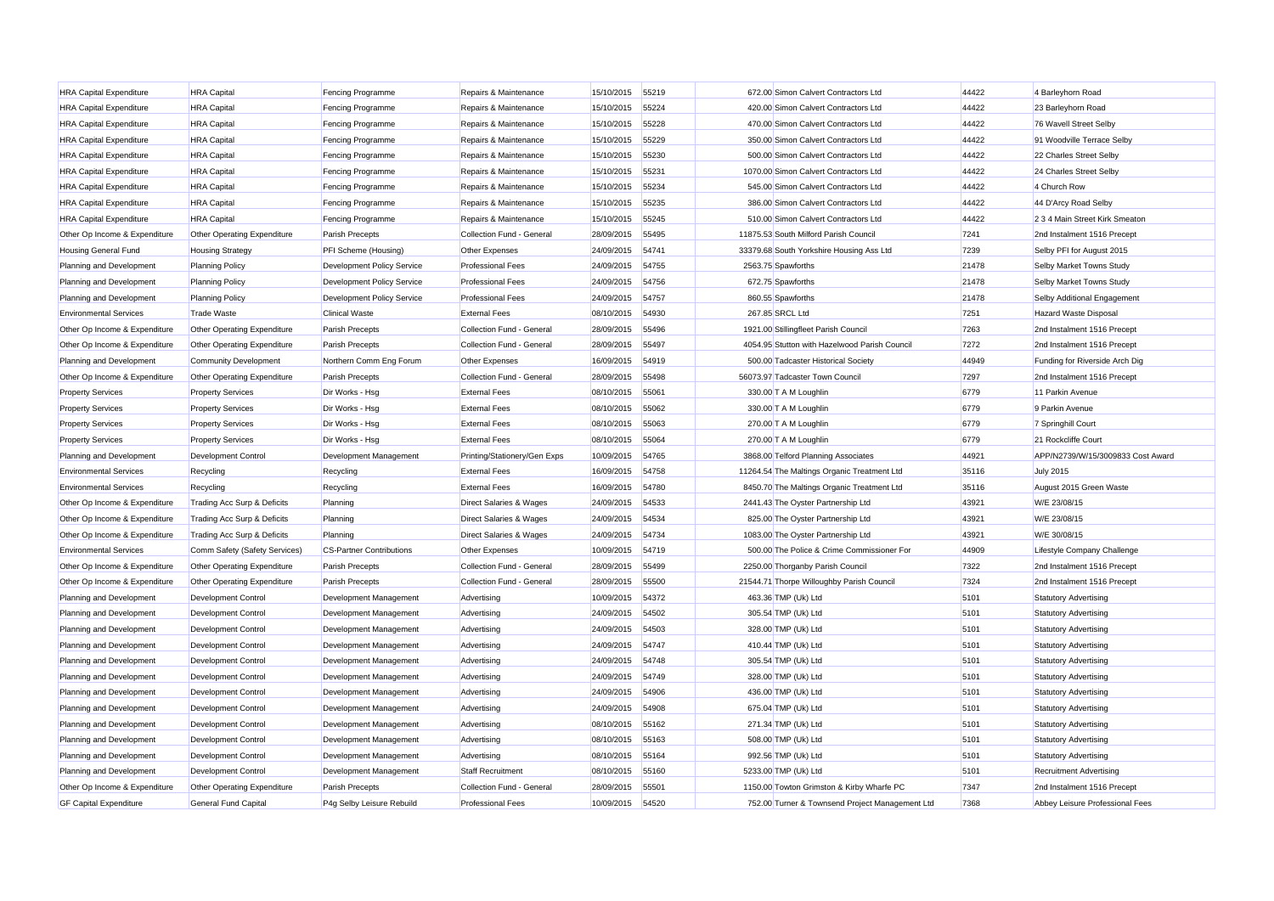| <b>HRA Capital Expenditure</b> | <b>HRA Capital</b>            | Fencing Programme                 | Repairs & Maintenance        | 15/10/2015 55219 |       | 672.00 Simon Calvert Contractors Ltd            | 44422 | 4 Barleyhorn Road                 |
|--------------------------------|-------------------------------|-----------------------------------|------------------------------|------------------|-------|-------------------------------------------------|-------|-----------------------------------|
| <b>HRA Capital Expenditure</b> | <b>HRA Capital</b>            | Fencing Programme                 | Repairs & Maintenance        | 15/10/2015       | 55224 | 420.00 Simon Calvert Contractors Ltd            | 44422 | 23 Barleyhorn Road                |
| <b>HRA Capital Expenditure</b> | <b>HRA Capital</b>            | Fencing Programme                 | Repairs & Maintenance        | 15/10/2015       | 55228 | 470.00 Simon Calvert Contractors Ltd            | 44422 | 76 Wavell Street Selby            |
| <b>HRA Capital Expenditure</b> | <b>HRA Capital</b>            | Fencing Programme                 | Repairs & Maintenance        | 15/10/2015       | 55229 | 350.00 Simon Calvert Contractors Ltd            | 44422 | 91 Woodville Terrace Selby        |
| <b>HRA Capital Expenditure</b> | <b>HRA Capital</b>            | Fencing Programme                 | Repairs & Maintenance        | 15/10/2015       | 55230 | 500.00 Simon Calvert Contractors Ltd            | 44422 | 22 Charles Street Selby           |
| <b>HRA Capital Expenditure</b> | <b>HRA Capital</b>            | Fencing Programme                 | Repairs & Maintenance        | 15/10/2015       | 55231 | 1070.00 Simon Calvert Contractors Ltd           | 44422 | 24 Charles Street Selby           |
| <b>HRA Capital Expenditure</b> | <b>HRA Capital</b>            | Fencing Programme                 | Repairs & Maintenance        | 15/10/2015       | 55234 | 545.00 Simon Calvert Contractors Ltd            | 44422 | 4 Church Row                      |
| <b>HRA Capital Expenditure</b> | <b>HRA Capital</b>            | Fencing Programme                 | Repairs & Maintenance        | 15/10/2015       | 55235 | 386.00 Simon Calvert Contractors Ltd            | 44422 | 44 D'Arcy Road Selby              |
| <b>HRA Capital Expenditure</b> | <b>HRA Capital</b>            | Fencing Programme                 | Repairs & Maintenance        | 15/10/2015       | 55245 | 510.00 Simon Calvert Contractors Ltd            | 44422 | 2 3 4 Main Street Kirk Smeaton    |
| Other Op Income & Expenditure  | Other Operating Expenditure   | Parish Precepts                   | Collection Fund - General    | 28/09/2015       | 55495 | 11875.53 South Milford Parish Council           | 7241  | 2nd Instalment 1516 Precept       |
| <b>Housing General Fund</b>    | <b>Housing Strategy</b>       | PFI Scheme (Housing)              | <b>Other Expenses</b>        | 24/09/2015       | 54741 | 33379.68 South Yorkshire Housing Ass Ltd        | 7239  | Selby PFI for August 2015         |
| Planning and Development       | <b>Planning Policy</b>        | Development Policy Service        | <b>Professional Fees</b>     | 24/09/2015       | 54755 | 2563.75 Spawforths                              | 21478 | Selby Market Towns Study          |
| Planning and Development       | <b>Planning Policy</b>        | Development Policy Service        | <b>Professional Fees</b>     | 24/09/2015       | 54756 | 672.75 Spawforths                               | 21478 | Selby Market Towns Study          |
| Planning and Development       | <b>Planning Policy</b>        | <b>Development Policy Service</b> | <b>Professional Fees</b>     | 24/09/2015       | 54757 | 860.55 Spawforths                               | 21478 | Selby Additional Engagement       |
| <b>Environmental Services</b>  | <b>Trade Waste</b>            | <b>Clinical Waste</b>             | <b>External Fees</b>         | 08/10/2015       | 54930 | 267.85 SRCL Ltd                                 | 7251  | Hazard Waste Disposal             |
| Other Op Income & Expenditure  | Other Operating Expenditure   | Parish Precepts                   | Collection Fund - General    | 28/09/2015       | 55496 | 1921.00 Stillingfleet Parish Council            | 7263  | 2nd Instalment 1516 Precept       |
| Other Op Income & Expenditure  | Other Operating Expenditure   | Parish Precepts                   | Collection Fund - General    | 28/09/2015       | 55497 | 4054.95 Stutton with Hazelwood Parish Council   | 7272  | 2nd Instalment 1516 Precept       |
| Planning and Development       | <b>Community Development</b>  | Northern Comm Eng Forum           | Other Expenses               | 16/09/2015       | 54919 | 500.00 Tadcaster Historical Society             | 44949 | Funding for Riverside Arch Dig    |
| Other Op Income & Expenditure  | Other Operating Expenditure   | Parish Precepts                   | Collection Fund - General    | 28/09/2015       | 55498 | 56073.97 Tadcaster Town Council                 | 7297  | 2nd Instalment 1516 Precept       |
| <b>Property Services</b>       | <b>Property Services</b>      | Dir Works - Hsg                   | <b>External Fees</b>         | 08/10/2015       | 55061 | 330.00 T A M Loughlin                           | 6779  | 11 Parkin Avenue                  |
| <b>Property Services</b>       | <b>Property Services</b>      | Dir Works - Hsg                   | <b>External Fees</b>         | 08/10/2015       | 55062 | 330.00 T A M Loughlin                           | 6779  | 9 Parkin Avenue                   |
| <b>Property Services</b>       | <b>Property Services</b>      | Dir Works - Hsg                   | <b>External Fees</b>         | 08/10/2015       | 55063 | 270.00 T A M Loughlin                           | 6779  | 7 Springhill Court                |
| <b>Property Services</b>       | <b>Property Services</b>      | Dir Works - Hsg                   | <b>External Fees</b>         | 08/10/2015       | 55064 | 270.00 T A M Loughlin                           | 6779  | 21 Rockcliffe Court               |
| Planning and Development       | <b>Development Control</b>    | Development Management            | Printing/Stationery/Gen Exps | 10/09/2015       | 54765 | 3868.00 Telford Planning Associates             | 44921 | APP/N2739/W/15/3009833 Cost Award |
| <b>Environmental Services</b>  | Recycling                     | Recycling                         | <b>External Fees</b>         | 16/09/2015       | 54758 | 11264.54 The Maltings Organic Treatment Ltd     | 35116 | <b>July 2015</b>                  |
| <b>Environmental Services</b>  | Recycling                     | Recycling                         | <b>External Fees</b>         | 16/09/2015       | 54780 | 8450.70 The Maltings Organic Treatment Ltd      | 35116 | August 2015 Green Waste           |
| Other Op Income & Expenditure  | Trading Acc Surp & Deficits   | Planning                          | Direct Salaries & Wages      | 24/09/2015       | 54533 | 2441.43 The Oyster Partnership Ltd              | 43921 | W/E 23/08/15                      |
| Other Op Income & Expenditure  | Trading Acc Surp & Deficits   | Planning                          | Direct Salaries & Wages      | 24/09/2015       | 54534 | 825.00 The Oyster Partnership Ltd               | 43921 | W/E 23/08/15                      |
| Other Op Income & Expenditure  | Trading Acc Surp & Deficits   | Planning                          | Direct Salaries & Wages      | 24/09/2015       | 54734 | 1083.00 The Oyster Partnership Ltd              | 43921 | W/E 30/08/15                      |
| <b>Environmental Services</b>  | Comm Safety (Safety Services) | <b>CS-Partner Contributions</b>   | Other Expenses               | 10/09/2015       | 54719 | 500.00 The Police & Crime Commissioner For      | 44909 | Lifestyle Company Challenge       |
| Other Op Income & Expenditure  | Other Operating Expenditure   | Parish Precepts                   | Collection Fund - General    | 28/09/2015       | 55499 | 2250.00 Thorganby Parish Council                | 7322  | 2nd Instalment 1516 Precept       |
| Other Op Income & Expenditure  | Other Operating Expenditure   | Parish Precepts                   | Collection Fund - General    | 28/09/2015       | 55500 | 21544.71 Thorpe Willoughby Parish Council       | 7324  | 2nd Instalment 1516 Precept       |
| Planning and Development       | <b>Development Control</b>    | Development Management            | Advertising                  | 10/09/2015       | 54372 | 463.36 TMP (Uk) Ltd                             | 5101  | <b>Statutory Advertising</b>      |
| Planning and Development       | <b>Development Control</b>    | Development Management            | Advertising                  | 24/09/2015       | 54502 | 305.54 TMP (Uk) Ltd                             | 5101  | <b>Statutory Advertising</b>      |
| Planning and Development       | <b>Development Control</b>    | Development Management            | Advertising                  | 24/09/2015       | 54503 | 328.00 TMP (Uk) Ltd                             | 5101  | <b>Statutory Advertising</b>      |
| Planning and Development       | <b>Development Control</b>    | Development Management            | Advertising                  | 24/09/2015       | 54747 | 410.44 TMP (Uk) Ltd                             | 5101  | <b>Statutory Advertising</b>      |
| Planning and Development       | Development Control           | Development Management            | Advertising                  | 24/09/2015       | 54748 | 305.54 TMP (Uk) Ltd                             | 5101  | <b>Statutory Advertising</b>      |
| Planning and Development       | Development Control           | Development Management            | Advertising                  | 24/09/2015       | 54749 | 328.00 TMP (Uk) Ltd                             | 5101  | <b>Statutory Advertising</b>      |
| Planning and Development       | <b>Development Control</b>    | Development Management            | Advertising                  | 24/09/2015       | 54906 | 436.00 TMP (Uk) Ltd                             | 5101  | <b>Statutory Advertising</b>      |
| Planning and Development       | Development Control           | Development Management            | Advertising                  | 24/09/2015       | 54908 | 675.04 TMP (Uk) Ltd                             | 5101  | <b>Statutory Advertising</b>      |
| Planning and Development       | <b>Development Control</b>    | Development Management            | Advertising                  | 08/10/2015       | 55162 | 271.34 TMP (Uk) Ltd                             | 5101  | <b>Statutory Advertising</b>      |
| Planning and Development       | <b>Development Control</b>    | Development Management            | Advertising                  | 08/10/2015       | 55163 | 508.00 TMP (Uk) Ltd                             | 5101  | <b>Statutory Advertising</b>      |
| Planning and Development       | <b>Development Control</b>    | Development Management            | Advertising                  | 08/10/2015       | 55164 | 992.56 TMP (Uk) Ltd                             | 5101  | <b>Statutory Advertising</b>      |
| Planning and Development       | <b>Development Control</b>    | Development Management            | <b>Staff Recruitment</b>     | 08/10/2015       | 55160 | 5233.00 TMP (Uk) Ltd                            | 5101  | <b>Recruitment Advertising</b>    |
| Other Op Income & Expenditure  | Other Operating Expenditure   | Parish Precepts                   | Collection Fund - General    | 28/09/2015       | 55501 | 1150.00 Towton Grimston & Kirby Wharfe PC       | 7347  | 2nd Instalment 1516 Precept       |
| <b>GF Capital Expenditure</b>  | <b>General Fund Capital</b>   | P4g Selby Leisure Rebuild         | <b>Professional Fees</b>     | 10/09/2015       | 54520 | 752.00 Turner & Townsend Project Management Ltd | 7368  | Abbey Leisure Professional Fees   |